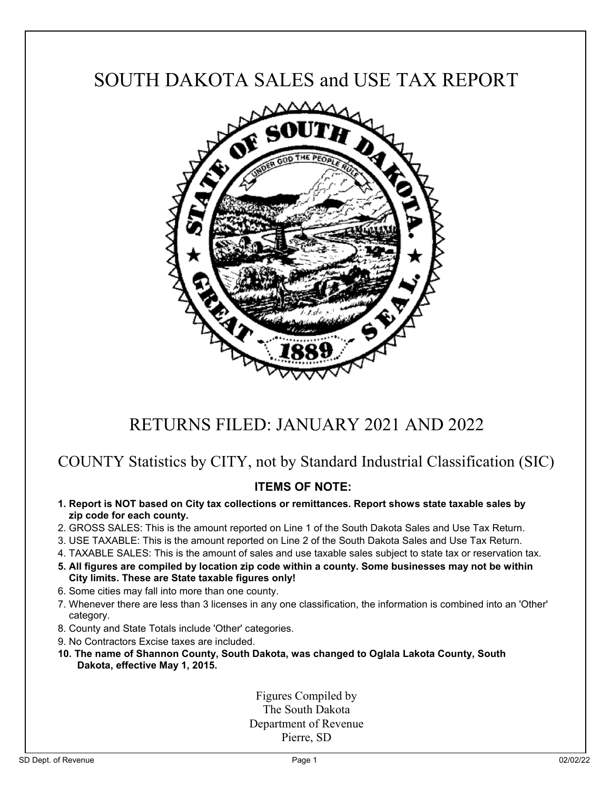## SOUTH DAKOTA SALES and USE TAX REPORT



# RETURNS FILED: JANUARY 2021 AND 2022

### COUNTY Statistics by CITY, not by Standard Industrial Classification (SIC)

### **ITEMS OF NOTE:**

- **1. Report is NOT based on City tax collections or remittances. Report shows state taxable sales by zip code for each county.**
- 2. GROSS SALES: This is the amount reported on Line 1 of the South Dakota Sales and Use Tax Return.
- 3. USE TAXABLE: This is the amount reported on Line 2 of the South Dakota Sales and Use Tax Return.
- 4. TAXABLE SALES: This is the amount of sales and use taxable sales subject to state tax or reservation tax.
- **5. All figures are compiled by location zip code within a county. Some businesses may not be within City limits. These are State taxable figures only!**
- 6. Some cities may fall into more than one county.
- 7. Whenever there are less than 3 licenses in any one classification, the information is combined into an 'Other' category.
- 8. County and State Totals include 'Other' categories.
- 9. No Contractors Excise taxes are included.
- **10. The name of Shannon County, South Dakota, was changed to Oglala Lakota County, South Dakota, effective May 1, 2015.**

Figures Compiled by The South Dakota Department of Revenue Pierre, SD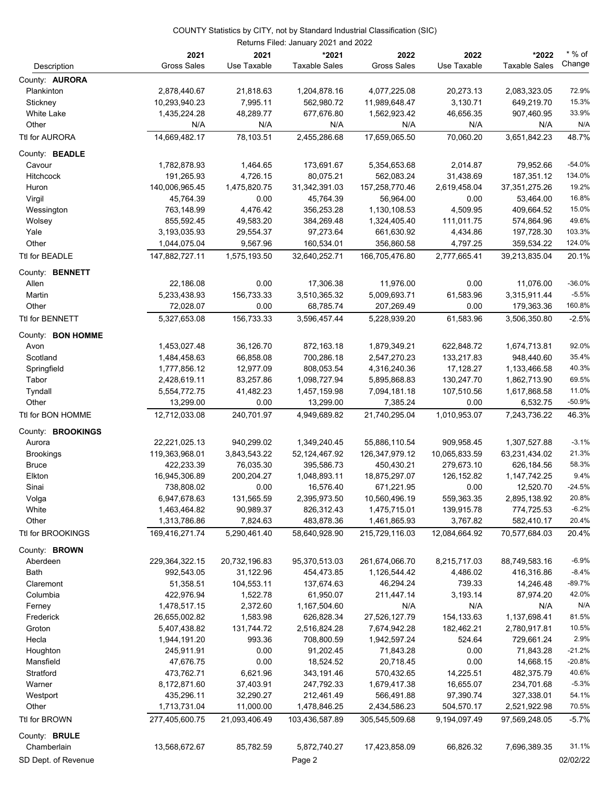|                          | 2021               | 2021          | *2021                | 2022               | 2022          | *2022                | $*$ % of      |
|--------------------------|--------------------|---------------|----------------------|--------------------|---------------|----------------------|---------------|
| Description              | <b>Gross Sales</b> | Use Taxable   | <b>Taxable Sales</b> | <b>Gross Sales</b> | Use Taxable   | <b>Taxable Sales</b> | Change        |
| County: <b>AURORA</b>    |                    |               |                      |                    |               |                      |               |
| Plankinton               | 2,878,440.67       | 21,818.63     | 1,204,878.16         | 4,077,225.08       | 20,273.13     | 2,083,323.05         | 72.9%         |
| Stickney                 | 10,293,940.23      | 7,995.11      | 562,980.72           | 11,989,648.47      | 3,130.71      | 649,219.70           | 15.3%         |
| White Lake               | 1,435,224.28       | 48,289.77     | 677,676.80           | 1,562,923.42       | 46,656.35     | 907,460.95           | 33.9%         |
| Other                    | N/A                | N/A           | N/A                  | N/A                | N/A           | N/A                  | N/A           |
| Ttl for AURORA           | 14,669,482.17      | 78,103.51     | 2,455,286.68         | 17,659,065.50      | 70,060.20     | 3,651,842.23         | 48.7%         |
| County: <b>BEADLE</b>    |                    |               |                      |                    |               |                      |               |
| Cavour                   | 1,782,878.93       | 1,464.65      | 173,691.67           | 5,354,653.68       | 2,014.87      | 79,952.66            | $-54.0%$      |
| <b>Hitchcock</b>         | 191,265.93         | 4,726.15      | 80,075.21            | 562,083.24         | 31,438.69     | 187,351.12           | 134.0%        |
| Huron                    | 140,006,965.45     | 1,475,820.75  | 31,342,391.03        | 157,258,770.46     | 2,619,458.04  | 37, 351, 275. 26     | 19.2%         |
| Virgil                   | 45,764.39          | 0.00          | 45,764.39            | 56,964.00          | 0.00          | 53,464.00            | 16.8%         |
| Wessington               | 763,148.99         | 4,476.42      | 356,253.28           | 1,130,108.53       | 4,509.95      | 409,664.52           | 15.0%         |
| Wolsey                   | 855,592.45         | 49,583.20     | 384,269.48           | 1,324,405.40       | 111,011.75    | 574,864.96           | 49.6%         |
| Yale                     | 3,193,035.93       | 29,554.37     | 97,273.64            | 661,630.92         | 4,434.86      | 197,728.30           | 103.3%        |
| Other                    | 1,044,075.04       | 9,567.96      | 160,534.01           | 356,860.58         | 4,797.25      | 359,534.22           | 124.0%        |
| Ttl for BEADLE           | 147,882,727.11     | 1,575,193.50  | 32,640,252.71        | 166,705,476.80     | 2,777,665.41  | 39,213,835.04        | 20.1%         |
| County: <b>BENNETT</b>   |                    |               |                      |                    |               |                      |               |
| Allen                    | 22,186.08          | 0.00          | 17,306.38            | 11,976.00          | 0.00          | 11,076.00            | $-36.0%$      |
| Martin                   | 5,233,438.93       | 156,733.33    | 3,510,365.32         | 5,009,693.71       | 61,583.96     | 3,315,911.44         | $-5.5%$       |
| Other                    | 72,028.07          | 0.00          | 68,785.74            | 207,269.49         | 0.00          | 179,363.36           | 160.8%        |
| Ttl for BENNETT          | 5,327,653.08       | 156,733.33    | 3,596,457.44         | 5.228.939.20       | 61,583.96     | 3,506,350.80         | $-2.5%$       |
| County: <b>BON HOMME</b> |                    |               |                      |                    |               |                      |               |
| Avon                     | 1,453,027.48       | 36,126.70     | 872,163.18           | 1,879,349.21       | 622,848.72    | 1,674,713.81         | 92.0%         |
| Scotland                 | 1,484,458.63       | 66,858.08     | 700,286.18           | 2,547,270.23       | 133,217.83    | 948,440.60           | 35.4%         |
| Springfield              | 1,777,856.12       | 12,977.09     | 808,053.54           | 4,316,240.36       | 17,128.27     | 1,133,466.58         | 40.3%         |
| Tabor                    | 2,428,619.11       | 83,257.86     | 1,098,727.94         | 5,895,868.83       | 130,247.70    | 1,862,713.90         | 69.5%         |
| Tyndall                  | 5,554,772.75       | 41,482.23     | 1,457,159.98         | 7,094,181.18       | 107,510.56    | 1,617,868.58         | 11.0%         |
| Other                    | 13,299.00          | 0.00          | 13,299.00            | 7,385.24           | 0.00          | 6,532.75             | $-50.9%$      |
| Ttl for BON HOMME        | 12,712,033.08      | 240,701.97    | 4,949,689.82         | 21,740,295.04      | 1,010,953.07  | 7,243,736.22         | 46.3%         |
| County: <b>BROOKINGS</b> |                    |               |                      |                    |               |                      |               |
| Aurora                   | 22,221,025.13      | 940,299.02    | 1,349,240.45         | 55,886,110.54      | 909,958.45    | 1,307,527.88         | $-3.1%$       |
| <b>Brookings</b>         | 119,363,968.01     | 3,843,543.22  | 52,124,467.92        | 126,347,979.12     | 10,065,833.59 | 63,231,434.02        | 21.3%         |
| <b>Bruce</b>             | 422,233.39         | 76,035.30     | 395,586.73           | 450,430.21         | 279,673.10    | 626,184.56           | 58.3%         |
| Elkton                   | 16,945,306.89      | 200,204.27    | 1,048,893.11         | 18,875,297.07      | 126,152.82    | 1, 147, 742. 25      | 9.4%          |
| Sinai                    | 738,808.02         | 0.00          | 16,576.40            | 671,221.95         | 0.00          | 12,520.70            | $-24.5%$      |
| Volga                    | 6,947,678.63       | 131,565.59    | 2,395,973.50         | 10,560,496.19      | 559,363.35    | 2,895,138.92         | 20.8%         |
| White                    | 1,463,464.82       | 90,989.37     | 826,312.43           | 1,475,715.01       | 139,915.78    | 774,725.53           | $-6.2%$       |
| Other                    | 1,313,786.86       | 7,824.63      | 483,878.36           | 1,461,865.93       | 3,767.82      | 582,410.17           | 20.4%         |
| Ttl for BROOKINGS        | 169,416,271.74     | 5,290,461.40  | 58,640,928.90        | 215,729,116.03     | 12,084,664.92 | 70,577,684.03        | 20.4%         |
| County: <b>BROWN</b>     |                    |               |                      |                    |               |                      |               |
| Aberdeen                 | 229,364,322.15     | 20,732,196.83 | 95,370,513.03        | 261,674,066.70     | 8,215,717.03  | 88,749,583.16        | $-6.9%$       |
| Bath                     | 992,543.05         | 31,122.96     | 454,473.85           | 1,126,544.42       | 4,486.02      | 416,316.86           | $-8.4%$       |
| Claremont                | 51,358.51          | 104,553.11    | 137,674.63           | 46,294.24          | 739.33        | 14,246.48            | $-89.7%$      |
| Columbia                 | 422,976.94         | 1,522.78      | 61,950.07            | 211,447.14         | 3,193.14      | 87,974.20            | 42.0%         |
| Ferney                   | 1,478,517.15       | 2,372.60      | 1,167,504.60         | N/A                | N/A           | N/A                  | N/A           |
| Frederick                | 26,655,002.82      | 1,583.98      | 626,828.34           | 27,526,127.79      | 154,133.63    | 1,137,698.41         | 81.5%         |
| Groton                   | 5,407,438.82       | 131,744.72    | 2,516,824.28         | 7,674,942.28       | 182,462.21    | 2,780,917.81         | 10.5%<br>2.9% |
| Hecla                    | 1,944,191.20       | 993.36        | 708,800.59           | 1,942,597.24       | 524.64        | 729,661.24           |               |
| Houghton                 | 245,911.91         | 0.00          | 91,202.45            | 71,843.28          | 0.00          | 71,843.28            | $-21.2%$      |
| Mansfield                | 47,676.75          | 0.00          | 18,524.52            | 20,718.45          | 0.00          | 14,668.15            | $-20.8%$      |
| Stratford                | 473,762.71         | 6,621.96      | 343,191.46           | 570,432.65         | 14,225.51     | 482,375.79           | 40.6%         |
| Warner                   | 8,172,871.60       | 37,403.91     | 247,792.33           | 1,679,417.38       | 16,655.07     | 234,701.68           | $-5.3%$       |
| Westport                 | 435,296.11         | 32,290.27     | 212,461.49           | 566,491.88         | 97,390.74     | 327,338.01           | 54.1%         |
| Other                    | 1,713,731.04       | 11,000.00     | 1,478,846.25         | 2,434,586.23       | 504,570.17    | 2,521,922.98         | 70.5%         |
| Ttl for BROWN            | 277,405,600.75     | 21,093,406.49 | 103,436,587.89       | 305,545,509.68     | 9,194,097.49  | 97,569,248.05        | $-5.7%$       |
| County: <b>BRULE</b>     |                    |               |                      |                    |               |                      |               |

SD Dept. of Revenue **CONFINGUIST** Page 2 **CONFINGUIST PAGE 2** 02/02/22

Chamberlain 13,568,672.67 85,782.59 5,872,740.27 17,423,858.09 66,826.32 7,696,389.35 31.1%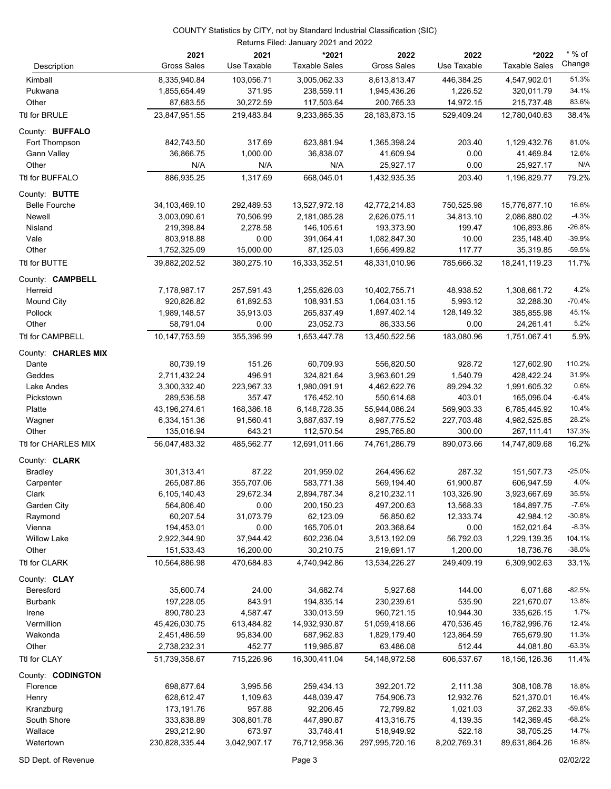| Description                           | 2021<br><b>Gross Sales</b>    | 2021<br>Use Taxable  | *2021<br><b>Taxable Sales</b> | 2022<br><b>Gross Sales</b> | 2022<br>Use Taxable  | *2022<br><b>Taxable Sales</b> | $*$ % of<br>Change |
|---------------------------------------|-------------------------------|----------------------|-------------------------------|----------------------------|----------------------|-------------------------------|--------------------|
|                                       |                               |                      |                               |                            |                      |                               |                    |
| Kimball                               | 8,335,940.84                  | 103,056.71           | 3,005,062.33                  | 8,613,813.47               | 446,384.25           | 4,547,902.01                  | 51.3%<br>34.1%     |
| Pukwana                               | 1,855,654.49                  | 371.95               | 238,559.11                    | 1,945,436.26               | 1,226.52             | 320,011.79                    |                    |
| Other                                 | 87,683.55                     | 30,272.59            | 117,503.64                    | 200,765.33                 | 14,972.15            | 215,737.48                    | 83.6%              |
| Ttl for BRULE                         | 23,847,951.55                 | 219,483.84           | 9,233,865.35                  | 28, 183, 873. 15           | 529,409.24           | 12,780,040.63                 | 38.4%              |
| County: BUFFALO                       |                               |                      |                               |                            |                      |                               | 81.0%              |
| Fort Thompson                         | 842,743.50                    | 317.69               | 623,881.94                    | 1,365,398.24               | 203.40               | 1,129,432.76                  | 12.6%              |
| <b>Gann Valley</b><br>Other           | 36,866.75<br>N/A              | 1,000.00<br>N/A      | 36,838.07<br>N/A              | 41,609.94                  | 0.00<br>0.00         | 41,469.84                     | N/A                |
| Ttl for BUFFALO                       | 886,935.25                    | 1,317.69             | 668,045.01                    | 25,927.17<br>1,432,935.35  | 203.40               | 25,927.17<br>1,196,829.77     | 79.2%              |
|                                       |                               |                      |                               |                            |                      |                               |                    |
| County: BUTTE<br><b>Belle Fourche</b> | 34,103,469.10                 | 292,489.53           | 13,527,972.18                 | 42,772,214.83              | 750,525.98           | 15,776,877.10                 | 16.6%              |
| Newell                                | 3,003,090.61                  | 70,506.99            | 2,181,085.28                  | 2,626,075.11               | 34,813.10            | 2,086,880.02                  | $-4.3%$            |
| Nisland                               | 219,398.84                    | 2,278.58             | 146,105.61                    | 193,373.90                 | 199.47               | 106,893.86                    | $-26.8%$           |
| Vale                                  | 803,918.88                    | 0.00                 | 391,064.41                    | 1,082,847.30               | 10.00                | 235,148.40                    | $-39.9%$           |
| Other                                 | 1,752,325.09                  | 15,000.00            | 87,125.03                     | 1,656,499.82               | 117.77               | 35,319.85                     | $-59.5%$           |
| Ttl for BUTTE                         | 39,882,202.52                 | 380,275.10           | 16,333,352.51                 | 48,331,010.96              | 785,666.32           | 18,241,119.23                 | 11.7%              |
| County: <b>CAMPBELL</b>               |                               |                      |                               |                            |                      |                               |                    |
| Herreid                               | 7,178,987.17                  | 257,591.43           | 1,255,626.03                  | 10,402,755.71              | 48,938.52            | 1,308,661.72                  | 4.2%               |
| <b>Mound City</b>                     | 920,826.82                    | 61,892.53            | 108,931.53                    | 1,064,031.15               | 5,993.12             | 32,288.30                     | $-70.4%$           |
| Pollock                               | 1,989,148.57                  | 35,913.03            | 265,837.49                    | 1,897,402.14               | 128,149.32           | 385,855.98                    | 45.1%              |
| Other                                 | 58,791.04                     | 0.00                 | 23,052.73                     | 86,333.56                  | 0.00                 | 24,261.41                     | 5.2%               |
| Ttl for CAMPBELL                      | 10,147,753.59                 | 355,396.99           | 1,653,447.78                  | 13,450,522.56              | 183,080.96           | 1,751,067.41                  | 5.9%               |
| County: CHARLES MIX                   |                               |                      |                               |                            |                      |                               |                    |
| Dante                                 | 80,739.19                     | 151.26               | 60,709.93                     | 556,820.50                 | 928.72               | 127,602.90                    | 110.2%             |
| Geddes                                | 2,711,432.24                  | 496.91               | 324,821.64                    | 3,963,601.29               | 1,540.79             | 428,422.24                    | 31.9%              |
| Lake Andes                            | 3,300,332.40                  | 223,967.33           | 1,980,091.91                  | 4,462,622.76               | 89,294.32            | 1,991,605.32                  | 0.6%               |
| Pickstown                             | 289,536.58                    | 357.47               | 176,452.10                    | 550,614.68                 | 403.01               | 165,096.04                    | $-6.4%$            |
| Platte                                | 43,196,274.61                 | 168,386.18           | 6,148,728.35                  | 55,944,086.24              | 569,903.33           | 6,785,445.92                  | 10.4%              |
| Wagner                                | 6,334,151.36                  | 91,560.41            | 3,887,637.19                  | 8,987,775.52               | 227,703.48           | 4,982,525.85                  | 28.2%              |
| Other                                 | 135,016.94                    | 643.21               | 112,570.54                    | 295,765.80                 | 300.00               | 267,111.41                    | 137.3%             |
| Ttl for CHARLES MIX                   | 56,047,483.32                 | 485,562.77           | 12,691,011.66                 | 74,761,286.79              | 890,073.66           | 14,747,809.68                 | 16.2%              |
| County: CLARK                         |                               |                      |                               |                            |                      |                               |                    |
| <b>Bradley</b>                        | 301,313.41                    | 87.22                | 201,959.02                    | 264,496.62                 | 287.32               | 151,507.73                    | $-25.0%$           |
| Carpenter                             | 265,087.86                    | 355,707.06           | 583,771.38                    | 569,194.40                 | 61,900.87            | 606,947.59                    | 4.0%               |
| Clark                                 | 6,105,140.43                  | 29,672.34            | 2,894,787.34                  | 8,210,232.11               | 103,326.90           | 3,923,667.69                  | 35.5%              |
| Garden City                           | 564,806.40                    | 0.00                 | 200,150.23                    | 497,200.63                 | 13,568.33            | 184,897.75                    | $-7.6%$            |
| Raymond                               | 60,207.54                     | 31,073.79            | 62,123.09                     | 56,850.62                  | 12,333.74            | 42,984.12                     | $-30.8%$           |
| Vienna                                | 194,453.01                    | 0.00                 | 165,705.01                    | 203,368.64                 | 0.00                 | 152,021.64                    | $-8.3%$            |
| <b>Willow Lake</b>                    | 2,922,344.90                  | 37,944.42            | 602,236.04                    | 3,513,192.09               | 56,792.03            | 1,229,139.35                  | 104.1%             |
| Other                                 | 151,533.43                    | 16,200.00            | 30,210.75                     | 219,691.17                 | 1,200.00             | 18,736.76                     | $-38.0%$           |
| Ttl for CLARK                         | 10,564,886.98                 | 470,684.83           | 4,740,942.86                  | 13,534,226.27              | 249,409.19           | 6,309,902.63                  | 33.1%              |
| County: CLAY                          |                               |                      |                               |                            |                      |                               |                    |
| Beresford                             | 35,600.74                     | 24.00                | 34,682.74                     | 5,927.68                   | 144.00               | 6,071.68                      | $-82.5%$           |
| <b>Burbank</b>                        | 197,228.05                    | 843.91               | 194,835.14                    | 230,239.61                 | 535.90               | 221,670.07                    | 13.8%              |
| Irene                                 | 890,780.23                    | 4,587.47             | 330,013.59                    | 960,721.15                 | 10,944.30            | 335,626.15                    | 1.7%               |
| Vermillion                            | 45,426,030.75                 | 613,484.82           | 14,932,930.87                 | 51,059,418.66              | 470,536.45           | 16,782,996.76                 | 12.4%              |
| Wakonda                               | 2,451,486.59                  | 95,834.00            | 687,962.83                    | 1,829,179.40               | 123,864.59           | 765,679.90                    | 11.3%              |
| Other<br>Ttl for CLAY                 | 2,738,232.31<br>51,739,358.67 | 452.77<br>715,226.96 | 119,985.87<br>16,300,411.04   | 63,486.08<br>54,148,972.58 | 512.44<br>606,537.67 | 44,081.80<br>18,156,126.36    | $-63.3%$<br>11.4%  |
|                                       |                               |                      |                               |                            |                      |                               |                    |
| County: CODINGTON                     |                               |                      |                               | 392,201.72                 | 2,111.38             | 308,108.78                    | 18.8%              |
| Florence<br>Henry                     | 698,877.64<br>628,612.47      | 3,995.56<br>1,109.63 | 259,434.13<br>448,039.47      | 754,906.73                 | 12,932.76            | 521,370.01                    | 16.4%              |
| Kranzburg                             | 173,191.76                    | 957.88               | 92,206.45                     | 72,799.82                  | 1,021.03             | 37,262.33                     | $-59.6%$           |
| South Shore                           | 333,838.89                    | 308,801.78           | 447,890.87                    | 413,316.75                 | 4,139.35             | 142,369.45                    | $-68.2%$           |
| Wallace                               | 293,212.90                    | 673.97               | 33,748.41                     | 518,949.92                 | 522.18               | 38,705.25                     | 14.7%              |
| Watertown                             | 230,828,335.44                | 3,042,907.17         | 76,712,958.36                 | 297,995,720.16             | 8,202,769.31         | 89,631,864.26                 | 16.8%              |
|                                       |                               |                      |                               |                            |                      |                               |                    |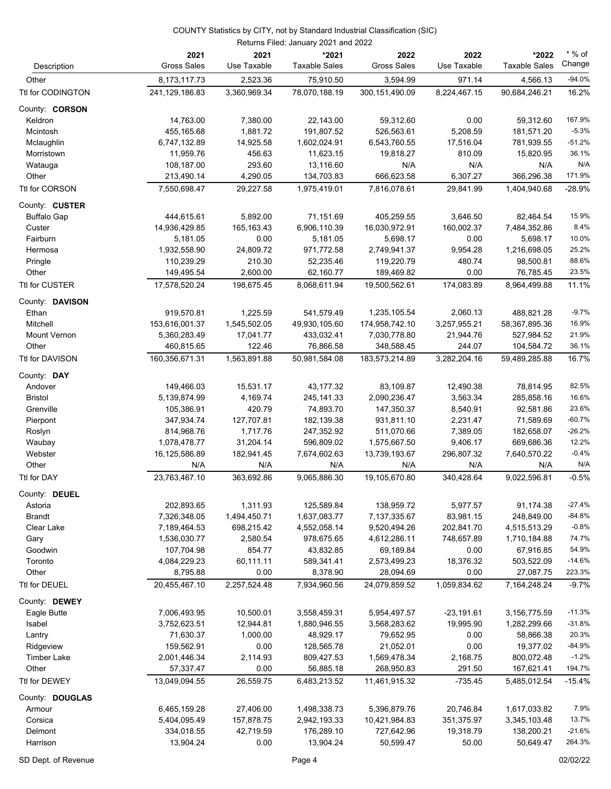| Description         | 2021<br><b>Gross Sales</b> | 2021<br>Use Taxable | *2021<br><b>Taxable Sales</b> | 2022<br><b>Gross Sales</b> | 2022<br>Use Taxable | *2022<br><b>Taxable Sales</b> | * % of<br>Change    |
|---------------------|----------------------------|---------------------|-------------------------------|----------------------------|---------------------|-------------------------------|---------------------|
| Other               | 8,173,117.73               | 2,523.36            | 75,910.50                     | 3,594.99                   | 971.14              | 4,566.13                      | $-94.0%$            |
| Ttl for CODINGTON   | 241,129,186.83             | 3,360,969.34        | 78,070,188.19                 | 300,151,490.09             | 8,224,467.15        | 90,684,246.21                 | 16.2%               |
| County: CORSON      |                            |                     |                               |                            |                     |                               |                     |
| Keldron             | 14,763.00                  | 7,380.00            | 22,143.00                     | 59,312.60                  | 0.00                | 59,312.60                     | 167.9%              |
| Mcintosh            | 455,165.68                 | 1,881.72            | 191,807.52                    | 526,563.61                 | 5,208.59            | 181,571.20                    | $-5.3%$             |
| Mclaughlin          | 6,747,132.89               | 14,925.58           | 1,602,024.91                  | 6,543,760.55               | 17,516.04           | 781,939.55                    | $-51.2%$            |
| Morristown          | 11,959.76                  | 456.63              | 11,623.15                     | 19,818.27                  | 810.09              | 15,820.95                     | 36.1%               |
| Watauga             | 108,187.00                 | 293.60              | 13,116.60                     | N/A                        | N/A                 | N/A                           | N/A                 |
| Other               | 213,490.14                 | 4,290.05            | 134,703.83                    | 666,623.58                 | 6,307.27            | 366,296.38                    | 171.9%              |
| Ttl for CORSON      | 7,550,698.47               | 29,227.58           | 1,975,419.01                  | 7,816,078.61               | 29,841.99           | 1,404,940.68                  | $-28.9%$            |
| County: CUSTER      |                            |                     |                               |                            |                     |                               |                     |
| <b>Buffalo Gap</b>  | 444,615.61                 | 5,892.00            | 71,151.69                     | 405,259.55                 | 3,646.50            | 82,464.54                     | 15.9%               |
| Custer              | 14,936,429.85              | 165, 163. 43        | 6,906,110.39                  | 16,030,972.91              | 160,002.37          | 7,484,352.86                  | 8.4%                |
| Fairburn            | 5,181.05                   | 0.00                | 5,181.05                      | 5,698.17                   | 0.00                | 5,698.17                      | 10.0%               |
| Hermosa             | 1,932,558.90               | 24,809.72           | 971,772.58                    | 2,749,941.37               | 9,954.28            | 1,216,698.05                  | 25.2%               |
| Pringle             | 110,239.29                 | 210.30              | 52,235.46                     | 119,220.79                 | 480.74              | 98,500.81                     | 88.6%               |
| Other               | 149,495.54                 | 2,600.00            | 62,160.77                     | 189,469.82                 | 0.00                | 76,785.45                     | 23.5%               |
| Ttl for CUSTER      | 17,578,520.24              | 198,675.45          | 8,068,611.94                  | 19,500,562.61              | 174,083.89          | 8,964,499.88                  | 11.1%               |
| County: DAVISON     |                            |                     |                               |                            |                     |                               |                     |
| Ethan               | 919,570.81                 | 1,225.59            | 541,579.49                    | 1,235,105.54               | 2,060.13            | 488,821.28                    | $-9.7%$             |
| Mitchell            | 153,616,001.37             | 1,545,502.05        | 49,930,105.60                 | 174,958,742.10             | 3,257,955.21        | 58,367,895.36                 | 16.9%               |
| <b>Mount Vernon</b> | 5,360,283.49               | 17,041.77           | 433,032.41                    | 7,030,778.80               | 21,944.76           | 527,984.52                    | 21.9%               |
| Other               | 460,815.65                 | 122.46              | 76,866.58                     | 348,588.45                 | 244.07              | 104,584.72                    | 36.1%               |
| Ttl for DAVISON     | 160,356,671.31             | 1,563,891.88        | 50,981,584.08                 | 183,573,214.89             | 3,282,204.16        | 59,489,285.88                 | 16.7%               |
| County: DAY         |                            |                     |                               |                            |                     |                               |                     |
| Andover             | 149,466.03                 | 15,531.17           | 43,177.32                     | 83,109.87                  | 12,490.38           | 78,814.95                     | 82.5%               |
| <b>Bristol</b>      | 5,139,874.99               | 4,169.74            | 245, 141.33                   | 2,090,236.47               | 3,563.34            | 285,858.16                    | 16.6%               |
| Grenville           | 105,386.91                 | 420.79              | 74,893.70                     | 147,350.37                 | 8,540.91            | 92,581.86                     | 23.6%               |
| Pierpont            | 347,934.74                 | 127,707.81          | 182,139.38                    | 931,811.10                 | 2,231.47            | 71,589.69                     | $-60.7%$            |
| Roslyn              | 814,968.76                 | 1,717.76            | 247,352.92                    | 511,070.66                 | 7,389.05            | 182,658.07                    | $-26.2%$            |
| Waubay              | 1,078,478.77               | 31,204.14           | 596,809.02                    | 1,575,667.50               | 9,406.17            | 669,686.36                    | 12.2%               |
| Webster             | 16,125,586.89              | 182,941.45          | 7,674,602.63                  | 13,739,193.67              | 296,807.32          | 7,640,570.22                  | $-0.4%$             |
| Other               | N/A                        | N/A                 | N/A                           | N/A                        | N/A                 | N/A                           | N/A                 |
| Ttl for DAY         | 23,763,467.10              | 363,692.86          | 9,065,886.30                  | 19,105,670.80              | 340,428.64          | 9,022,596.81                  | $-0.5%$             |
| County: DEUEL       |                            |                     |                               |                            |                     |                               |                     |
| Astoria             | 202,893.65                 | 1,311.93            | 125,589.84                    | 138,959.72                 | 5,977.57            | 91,174.38                     | $-27.4%$            |
| <b>Brandt</b>       | 7,326,348.05               | 1,494,450.71        | 1,637,083.77                  | 7,137,335.67               | 83,981.15           | 248,849.00                    | $-84.8%$            |
| Clear Lake          | 7,189,464.53               | 698,215.42          | 4,552,058.14                  | 9,520,494.26               | 202,841.70          | 4,515,513.29                  | $-0.8%$             |
| Gary                | 1,536,030.77               | 2,580.54            | 978,675.65                    | 4,612,286.11               | 748,657.89          | 1,710,184.88                  | 74.7%               |
| Goodwin             | 107,704.98                 | 854.77              | 43,832.85                     | 69,189.84                  | 0.00                | 67,916.85                     | 54.9%               |
| Toronto             | 4,084,229.23               | 60,111.11           | 589,341.41                    | 2,573,499.23               | 18,376.32           | 503,522.09                    | $-14.6%$            |
| Other               | 8,795.88                   | 0.00                | 8,378.90                      | 28,094.69                  | 0.00                | 27,087.75                     | 223.3%              |
| Ttl for DEUEL       | 20,455,467.10              | 2,257,524.48        | 7,934,960.56                  | 24,079,859.52              | 1,059,834.62        | 7,164,248.24                  | $-9.7%$             |
| County: DEWEY       |                            |                     |                               |                            |                     |                               |                     |
| Eagle Butte         | 7,006,493.95               | 10,500.01           | 3,558,459.31                  | 5,954,497.57               | $-23,191.61$        | 3,156,775.59                  | $-11.3%$            |
| Isabel              | 3,752,623.51               | 12,944.81           | 1,880,946.55                  | 3,568,283.62               | 19,995.90           | 1,282,299.66                  | $-31.8%$            |
| Lantry              | 71,630.37                  | 1,000.00            | 48,929.17                     | 79,652.95                  | 0.00                | 58,866.38                     | 20.3%               |
| Ridgeview           | 159,562.91                 | 0.00                | 128,565.78                    | 21,052.01                  | 0.00                | 19,377.02                     | $-84.9%$<br>$-1.2%$ |
| <b>Timber Lake</b>  | 2,001,446.34               | 2,114.93            | 809,427.53                    | 1,569,478.34               | 2,168.75            | 800,072.48                    | 194.7%              |
| Other               | 57,337.47                  | 0.00                | 56,885.18                     | 268,950.83                 | 291.50              | 167,621.41                    |                     |
| Ttl for DEWEY       | 13,049,094.55              | 26,559.75           | 6,483,213.52                  | 11,461,915.32              | $-735.45$           | 5,485,012.54                  | $-15.4%$            |
| County: DOUGLAS     |                            |                     |                               |                            |                     |                               |                     |
| Armour              | 6,465,159.28               | 27,406.00           | 1,498,338.73                  | 5,396,879.76               | 20,746.84           | 1,617,033.82                  | 7.9%                |
| Corsica             | 5,404,095.49               | 157,878.75          | 2,942,193.33                  | 10,421,984.83              | 351,375.97          | 3,345,103.48                  | 13.7%               |
| Delmont             | 334,018.55                 | 42,719.59           | 176,289.10                    | 727,642.96                 | 19,318.79           | 138,200.21                    | $-21.6%$            |
| Harrison            | 13,904.24                  | 0.00                | 13,904.24                     | 50,599.47                  | 50.00               | 50,649.47                     | 264.3%              |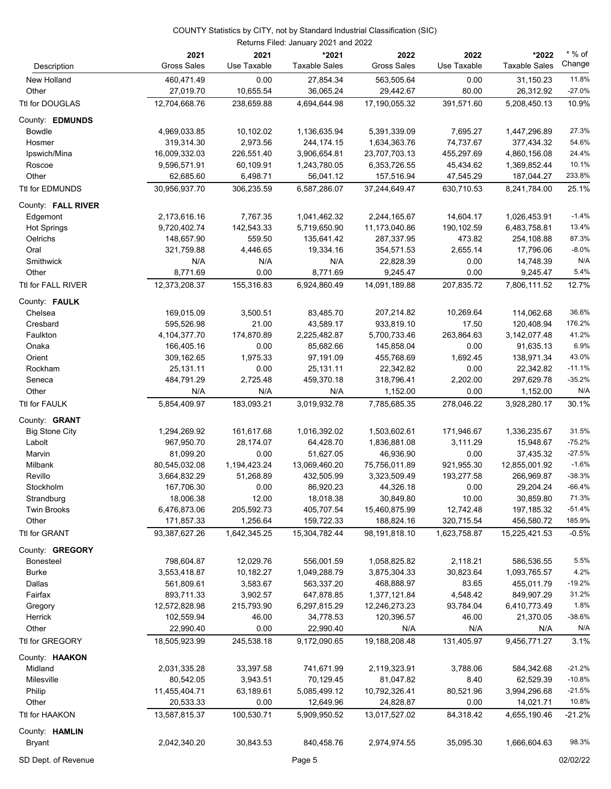| Description            | 2021<br><b>Gross Sales</b> | 2021<br>Use Taxable | *2021<br><b>Taxable Sales</b> | 2022<br><b>Gross Sales</b> | 2022<br>Use Taxable | *2022<br><b>Taxable Sales</b> | $*$ % of<br>Change |
|------------------------|----------------------------|---------------------|-------------------------------|----------------------------|---------------------|-------------------------------|--------------------|
| New Holland<br>Other   | 460,471.49<br>27,019.70    | 0.00<br>10,655.54   | 27,854.34<br>36,065.24        | 563,505.64<br>29,442.67    | 0.00<br>80.00       | 31,150.23<br>26,312.92        | 11.8%<br>$-27.0%$  |
| Ttl for DOUGLAS        | 12,704,668.76              | 238,659.88          | 4,694,644.98                  | 17,190,055.32              | 391,571.60          | 5,208,450.13                  | 10.9%              |
| County: EDMUNDS        |                            |                     |                               |                            |                     |                               |                    |
| <b>Bowdle</b>          | 4,969,033.85               | 10,102.02           | 1,136,635.94                  | 5,391,339.09               | 7,695.27            | 1,447,296.89                  | 27.3%              |
| Hosmer                 | 319,314.30                 | 2,973.56            | 244, 174. 15                  | 1,634,363.76               | 74,737.67           | 377,434.32                    | 54.6%              |
| Ipswich/Mina           | 16,009,332.03              | 226,551.40          | 3,906,654.81                  | 23,707,703.13              | 455,297.69          | 4,860,156.08                  | 24.4%              |
| Roscoe                 | 9,596,571.91               | 60,109.91           | 1,243,780.05                  | 6,353,726.55               | 45,434.62           | 1,369,852.44                  | 10.1%              |
| Other                  | 62,685.60                  | 6,498.71            | 56,041.12                     | 157,516.94                 | 47,545.29           | 187,044.27                    | 233.8%             |
| <b>Ttl for EDMUNDS</b> | 30,956,937.70              | 306,235.59          | 6,587,286.07                  | 37,244,649.47              | 630,710.53          | 8,241,784.00                  | 25.1%              |
| County: FALL RIVER     |                            |                     |                               |                            |                     |                               |                    |
| Edgemont               | 2,173,616.16               | 7,767.35            | 1,041,462.32                  | 2,244,165.67               | 14,604.17           | 1,026,453.91                  | $-1.4%$            |
| <b>Hot Springs</b>     | 9,720,402.74               | 142,543.33          | 5,719,650.90                  | 11,173,040.86              | 190,102.59          | 6,483,758.81                  | 13.4%              |
| Oelrichs               | 148,657.90                 | 559.50              | 135,641.42                    | 287,337.95                 | 473.82              | 254,108.88                    | 87.3%              |
| Oral                   | 321,759.88                 | 4,446.65            | 19,334.16                     | 354,571.53                 | 2,655.14            | 17,796.06                     | $-8.0%$            |
| Smithwick              | N/A                        | N/A                 | N/A                           | 22,828.39                  | 0.00                | 14,748.39                     | N/A                |
| Other                  | 8,771.69                   | 0.00                | 8,771.69                      | 9,245.47                   | 0.00                | 9,245.47                      | 5.4%               |
| Ttl for FALL RIVER     | 12,373,208.37              | 155,316.83          | 6,924,860.49                  | 14,091,189.88              | 207,835.72          | 7,806,111.52                  | 12.7%              |
| County: FAULK          |                            |                     |                               |                            |                     |                               |                    |
| Chelsea                | 169,015.09                 | 3,500.51            | 83,485.70                     | 207,214.82                 | 10,269.64           | 114,062.68                    | 36.6%              |
| Cresbard               | 595,526.98                 | 21.00               | 43,589.17                     | 933,819.10                 | 17.50               | 120,408.94                    | 176.2%             |
| Faulkton               | 4,104,377.70               | 174,870.89          | 2,225,482.87                  | 5,700,733.46               | 263,864.63          | 3,142,077.48                  | 41.2%              |
| Onaka                  | 166,405.16                 | 0.00                | 85,682.66                     | 145,858.04                 | 0.00                | 91,635.13                     | 6.9%               |
| Orient                 | 309,162.65                 | 1,975.33            | 97,191.09                     | 455,768.69                 | 1,692.45            | 138,971.34                    | 43.0%              |
| Rockham                | 25,131.11                  | 0.00                | 25,131.11                     | 22,342.82                  | 0.00                | 22,342.82                     | $-11.1%$           |
| Seneca                 | 484,791.29                 | 2,725.48            | 459,370.18                    | 318,796.41                 | 2,202.00            | 297,629.78                    | $-35.2%$           |
| Other                  | N/A                        | N/A                 | N/A                           | 1,152.00                   | 0.00                | 1,152.00                      | N/A                |
| Ttl for FAULK          | 5,854,409.97               | 183,093.21          | 3,019,932.78                  | 7,785,685.35               | 278,046.22          | 3,928,280.17                  | 30.1%              |
| County: <b>GRANT</b>   |                            |                     |                               |                            |                     |                               |                    |
| <b>Big Stone City</b>  | 1,294,269.92               | 161,617.68          | 1,016,392.02                  | 1,503,602.61               | 171,946.67          | 1,336,235.67                  | 31.5%              |
| Labolt                 | 967,950.70                 | 28,174.07           | 64,428.70                     | 1,836,881.08               | 3,111.29            | 15,948.67                     | $-75.2%$           |
| Marvin                 | 81,099.20                  | 0.00                | 51,627.05                     | 46,936.90                  | 0.00                | 37,435.32                     | $-27.5%$           |
| Milbank                | 80,545,032.08              | 1,194,423.24        | 13,069,460.20                 | 75,756,011.89              | 921,955.30          | 12,855,001.92                 | $-1.6%$            |
| Revillo                | 3,664,832.29               | 51,268.89           | 432,505.99                    | 3,323,509.49               | 193,277.58          | 266,969.87                    | $-38.3%$           |
| Stockholm              | 167,706.30                 | 0.00                | 86,920.23                     | 44,326.18                  | 0.00                | 29,204.24                     | $-66.4%$           |
| Strandburg             | 18,006.38                  | 12.00               | 18,018.38                     | 30,849.80                  | 10.00               | 30,859.80                     | 71.3%              |
| <b>Twin Brooks</b>     | 6,476,873.06               | 205,592.73          | 405,707.54                    | 15,460,875.99              | 12,742.48           | 197,185.32                    | $-51.4%$           |
| Other                  | 171,857.33                 | 1,256.64            | 159,722.33                    | 188,824.16                 | 320,715.54          | 456,580.72                    | 185.9%             |
| Ttl for GRANT          | 93,387,627.26              | 1,642,345.25        | 15,304,782.44                 | 98,191,818.10              | 1,623,758.87        | 15,225,421.53                 | $-0.5%$            |
| County: <b>GREGORY</b> |                            |                     |                               |                            |                     |                               |                    |
| <b>Bonesteel</b>       | 798,604.87                 | 12,029.76           | 556,001.59                    | 1,058,825.82               | 2,118.21            | 586,536.55                    | 5.5%               |
| <b>Burke</b>           | 3,553,418.87               | 10,182.27           | 1,049,288.79                  | 3,875,304.33               | 30,823.64           | 1,093,765.57                  | 4.2%               |
| Dallas                 | 561,809.61                 | 3,583.67            | 563,337.20                    | 468,888.97                 | 83.65               | 455,011.79                    | $-19.2%$           |
| Fairfax                | 893,711.33                 | 3,902.57            | 647,878.85                    | 1,377,121.84               | 4,548.42            | 849,907.29                    | 31.2%              |
| Gregory                | 12,572,828.98              | 215,793.90          | 6,297,815.29                  | 12,246,273.23              | 93,784.04           | 6,410,773.49                  | 1.8%<br>$-38.6%$   |
| Herrick<br>Other       | 102,559.94                 | 46.00<br>0.00       | 34,778.53                     | 120,396.57<br>N/A          | 46.00<br>N/A        | 21,370.05<br>N/A              | N/A                |
|                        | 22,990.40                  |                     | 22,990.40                     |                            |                     |                               |                    |
| Ttl for GREGORY        | 18,505,923.99              | 245,538.18          | 9,172,090.65                  | 19,188,208.48              | 131,405.97          | 9,456,771.27                  | 3.1%               |
| County: HAAKON         |                            |                     |                               |                            |                     |                               |                    |
| Midland                | 2,031,335.28               | 33,397.58           | 741,671.99                    | 2,119,323.91               | 3,788.06            | 584,342.68                    | $-21.2%$           |
| Milesville             | 80,542.05                  | 3,943.51            | 70,129.45                     | 81,047.82                  | 8.40                | 62,529.39                     | $-10.8%$           |
| Philip                 | 11,455,404.71              | 63,189.61           | 5,085,499.12                  | 10,792,326.41              | 80,521.96           | 3,994,296.68                  | $-21.5%$           |
| Other                  | 20,533.33                  | 0.00                | 12,649.96                     | 24,828.87                  | 0.00                | 14,021.71                     | 10.8%              |
| Ttl for HAAKON         | 13,587,815.37              | 100,530.71          | 5,909,950.52                  | 13,017,527.02              | 84,318.42           | 4,655,190.46                  | $-21.2%$           |
| County: HAMLIN         |                            |                     |                               |                            |                     |                               |                    |
| <b>Bryant</b>          | 2,042,340.20               | 30,843.53           | 840,458.76                    | 2,974,974.55               | 35,095.30           | 1,666,604.63                  | 98.3%              |

SD Dept. of Revenue **Page 5** 02/02/22 Page 5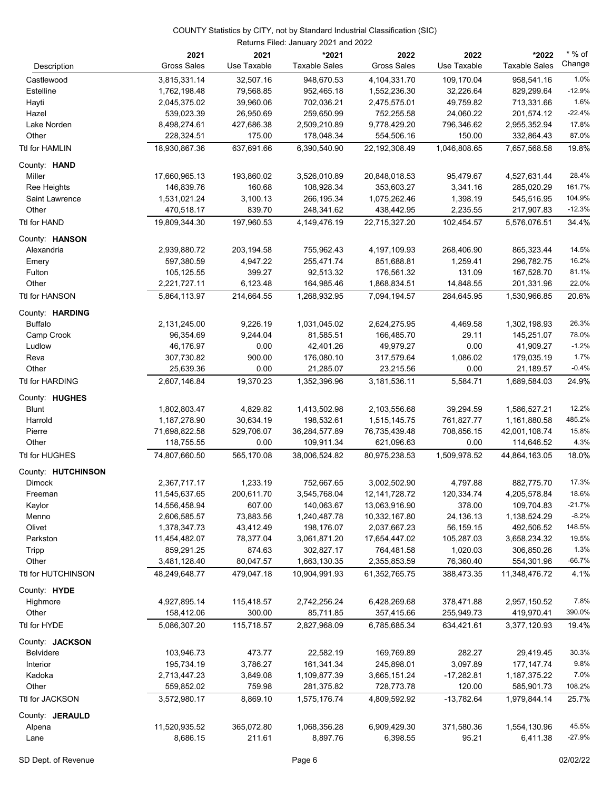|                      | 2021<br><b>Gross Sales</b> | 2021<br>Use Taxable  | *2021<br><b>Taxable Sales</b> | 2022<br><b>Gross Sales</b> | 2022<br>Use Taxable | *2022<br><b>Taxable Sales</b> | $*$ % of<br>Change |
|----------------------|----------------------------|----------------------|-------------------------------|----------------------------|---------------------|-------------------------------|--------------------|
| Description          |                            |                      |                               |                            |                     |                               |                    |
| Castlewood           | 3,815,331.14               | 32,507.16            | 948.670.53                    | 4,104,331.70               | 109,170.04          | 958,541.16                    | 1.0%               |
| Estelline            | 1,762,198.48               | 79,568.85            | 952,465.18                    | 1,552,236.30               | 32,226.64           | 829,299.64                    | $-12.9%$           |
| Hayti                | 2,045,375.02               | 39,960.06            | 702,036.21                    | 2,475,575.01               | 49,759.82           | 713,331.66                    | 1.6%               |
| Hazel                | 539,023.39                 | 26,950.69            | 259,650.99                    | 752,255.58                 | 24,060.22           | 201,574.12                    | $-22.4%$           |
| Lake Norden          | 8,498,274.61               | 427,686.38           | 2,509,210.89                  | 9,778,429.20               | 796,346.62          | 2,955,352.94                  | 17.8%              |
| Other                | 228,324.51                 | 175.00               | 178,048.34                    | 554,506.16                 | 150.00              | 332,864.43                    | 87.0%              |
| Ttl for HAMLIN       | 18,930,867.36              | 637,691.66           | 6,390,540.90                  | 22,192,308.49              | 1.046.808.65        | 7,657,568.58                  | 19.8%              |
| County: <b>HAND</b>  |                            |                      |                               |                            |                     |                               |                    |
| Miller               | 17,660,965.13              | 193,860.02           | 3,526,010.89                  | 20,848,018.53              | 95,479.67           | 4,527,631.44                  | 28.4%              |
| Ree Heights          | 146,839.76                 | 160.68               | 108,928.34                    | 353,603.27                 | 3,341.16            | 285,020.29                    | 161.7%             |
| Saint Lawrence       | 1,531,021.24               | 3,100.13             | 266,195.34                    | 1,075,262.46               | 1,398.19            | 545,516.95                    | 104.9%             |
| Other                | 470,518.17                 | 839.70               | 248,341.62                    | 438,442.95                 | 2,235.55            | 217,907.83                    | $-12.3%$           |
| Ttl for HAND         | 19,809,344.30              | 197,960.53           | 4,149,476.19                  | 22,715,327.20              | 102,454.57          | 5,576,076.51                  | 34.4%              |
| County: HANSON       |                            |                      |                               |                            |                     |                               |                    |
| Alexandria           | 2,939,880.72               | 203,194.58           | 755,962.43                    | 4,197,109.93               | 268,406.90          | 865,323.44                    | 14.5%              |
| Emery                | 597,380.59                 | 4,947.22             | 255,471.74                    | 851,688.81                 | 1,259.41            | 296,782.75                    | 16.2%              |
| Fulton               | 105,125.55                 | 399.27               | 92,513.32                     | 176,561.32                 | 131.09              | 167,528.70                    | 81.1%              |
| Other                | 2,221,727.11               | 6,123.48             | 164,985.46                    | 1,868,834.51               | 14,848.55           | 201,331.96                    | 22.0%              |
| Ttl for HANSON       | 5,864,113.97               | 214,664.55           | 1,268,932.95                  | 7,094,194.57               | 284,645.95          | 1,530,966.85                  | 20.6%              |
|                      |                            |                      |                               |                            |                     |                               |                    |
| County: HARDING      |                            |                      | 1,031,045.02                  |                            |                     |                               | 26.3%              |
| <b>Buffalo</b>       | 2,131,245.00<br>96,354.69  | 9,226.19<br>9,244.04 | 81,585.51                     | 2,624,275.95<br>166,485.70 | 4,469.58<br>29.11   | 1,302,198.93<br>145,251.07    | 78.0%              |
| Camp Crook<br>Ludlow | 46,176.97                  | 0.00                 | 42,401.26                     | 49,979.27                  | 0.00                | 41,909.27                     | $-1.2%$            |
| Reva                 | 307,730.82                 | 900.00               | 176,080.10                    | 317,579.64                 | 1,086.02            |                               | 1.7%               |
| Other                | 25,639.36                  | 0.00                 | 21,285.07                     | 23,215.56                  | 0.00                | 179,035.19<br>21,189.57       | $-0.4%$            |
|                      |                            |                      |                               |                            | 5,584.71            |                               | 24.9%              |
| Ttl for HARDING      | 2,607,146.84               | 19,370.23            | 1,352,396.96                  | 3,181,536.11               |                     | 1,689,584.03                  |                    |
| County: HUGHES       |                            |                      |                               |                            |                     |                               |                    |
| <b>Blunt</b>         | 1,802,803.47               | 4,829.82             | 1,413,502.98                  | 2,103,556.68               | 39,294.59           | 1,586,527.21                  | 12.2%              |
| Harrold              | 1,187,278.90               | 30,634.19            | 198,532.61                    | 1,515,145.75               | 761,827.77          | 1,161,880.58                  | 485.2%             |
| Pierre               | 71,698,822.58              | 529,706.07           | 36,284,577.89                 | 76,735,439.48              | 708,856.15          | 42,001,108.74                 | 15.8%              |
| Other                | 118,755.55                 | 0.00                 | 109,911.34                    | 621,096.63                 | 0.00                | 114,646.52                    | 4.3%               |
| Ttl for HUGHES       | 74,807,660.50              | 565,170.08           | 38,006,524.82                 | 80,975,238.53              | 1,509,978.52        | 44,864,163.05                 | 18.0%              |
| County: HUTCHINSON   |                            |                      |                               |                            |                     |                               |                    |
| <b>Dimock</b>        | 2,367,717.17               | 1,233.19             | 752,667.65                    | 3,002,502.90               | 4,797.88            | 882,775.70                    | 17.3%              |
| Freeman              | 11,545,637.65              | 200,611.70           | 3,545,768.04                  | 12, 141, 728. 72           | 120,334.74          | 4,205,578.84                  | 18.6%              |
| Kaylor               | 14,556,458.94              | 607.00               | 140,063.67                    | 13,063,916.90              | 378.00              | 109,704.83                    | $-21.7%$           |
| Menno                | 2,606,585.57               | 73,883.56            | 1,240,487.78                  | 10,332,167.80              | 24,136.13           | 1,138,524.29                  | $-8.2%$            |
| Olivet               | 1,378,347.73               | 43,412.49            | 198,176.07                    | 2,037,667.23               | 56,159.15           | 492,506.52                    | 148.5%             |
| Parkston             | 11,454,482.07              | 78,377.04            | 3,061,871.20                  | 17,654,447.02              | 105,287.03          | 3,658,234.32                  | 19.5%              |
| Tripp                | 859,291.25                 | 874.63               | 302,827.17                    | 764,481.58                 | 1,020.03            | 306,850.26                    | 1.3%               |
| Other                | 3,481,128.40               | 80,047.57            | 1,663,130.35                  | 2,355,853.59               | 76,360.40           | 554,301.96                    | $-66.7%$           |
| Ttl for HUTCHINSON   | 48,249,648.77              | 479,047.18           | 10,904,991.93                 | 61,352,765.75              | 388,473.35          | 11,348,476.72                 | 4.1%               |
| County: HYDE         |                            |                      |                               |                            |                     |                               |                    |
| Highmore             | 4,927,895.14               | 115,418.57           | 2,742,256.24                  | 6,428,269.68               | 378,471.88          | 2,957,150.52                  | 7.8%               |
| Other                | 158,412.06                 | 300.00               | 85,711.85                     | 357,415.66                 | 255,949.73          | 419,970.41                    | 390.0%             |
| Ttl for HYDE         | 5,086,307.20               | 115,718.57           | 2,827,968.09                  | 6,785,685.34               | 634,421.61          | 3,377,120.93                  | 19.4%              |
| County: JACKSON      |                            |                      |                               |                            |                     |                               |                    |
| <b>Belvidere</b>     | 103,946.73                 | 473.77               | 22,582.19                     | 169,769.89                 | 282.27              | 29,419.45                     | 30.3%              |
| Interior             | 195,734.19                 | 3,786.27             | 161,341.34                    | 245,898.01                 | 3,097.89            | 177, 147. 74                  | 9.8%               |
| Kadoka               | 2,713,447.23               | 3,849.08             | 1,109,877.39                  | 3,665,151.24               | $-17,282.81$        | 1,187,375.22                  | 7.0%               |
| Other                | 559,852.02                 | 759.98               | 281,375.82                    | 728,773.78                 | 120.00              | 585,901.73                    | 108.2%             |
| Ttl for JACKSON      | 3,572,980.17               | 8,869.10             | 1,575,176.74                  | 4,809,592.92               | $-13,782.64$        | 1,979,844.14                  | 25.7%              |
| County: JERAULD      |                            |                      |                               |                            |                     |                               |                    |
| Alpena               | 11,520,935.52              | 365,072.80           | 1,068,356.28                  | 6,909,429.30               | 371,580.36          | 1,554,130.96                  | 45.5%              |
| Lane                 | 8,686.15                   | 211.61               | 8,897.76                      | 6,398.55                   | 95.21               | 6,411.38                      | $-27.9%$           |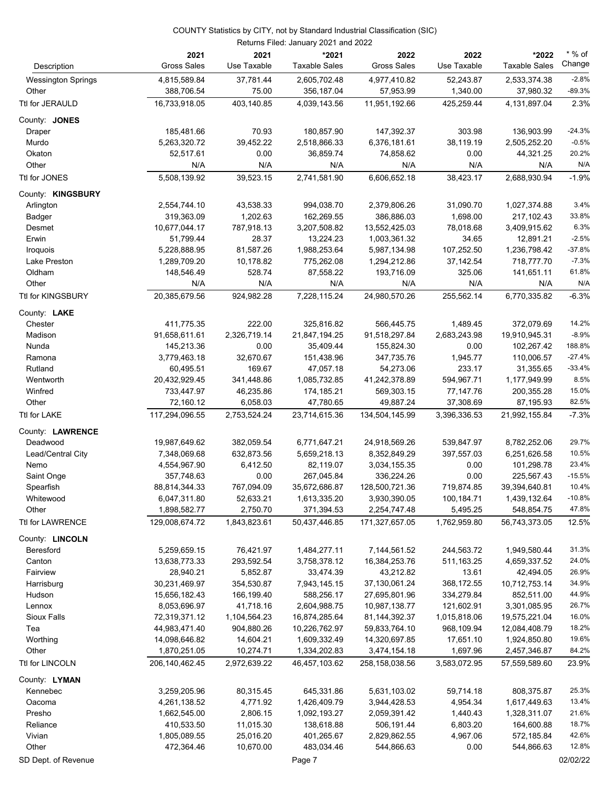| 37,781.44<br>4,977,410.82<br>52,243.87<br>4,815,589.84<br>2,605,702.48<br>2,533,374.38<br><b>Wessington Springs</b><br>75.00<br>Other<br>388,706.54<br>356,187.04<br>57,953.99<br>1,340.00<br>37,980.32<br>Ttl for JERAULD<br>16,733,918.05<br>403,140.85<br>4,039,143.56<br>11,951,192.66<br>425,259.44<br>4,131,897.04<br>185,481.66<br>70.93<br>180,857.90<br>147,392.37<br>303.98<br>136,903.99<br>Draper<br>5,263,320.72<br>39,452.22<br>2,518,866.33<br>6,376,181.61<br>38,119.19<br>Murdo<br>2,505,252.20<br>0.00<br>Okaton<br>52,517.61<br>36,859.74<br>74,858.62<br>0.00<br>44,321.25<br>Other<br>N/A<br>N/A<br>N/A<br>N/A<br>N/A<br>N/A<br>Ttl for JONES<br>5,508,139.92<br>39,523.15<br>2,741,581.90<br>6,606,652.18<br>38,423.17<br>2,688,930.94<br>County: KINGSBURY<br>2,554,744.10<br>43,538.33<br>994,038.70<br>2,379,806.26<br>31,090.70<br>1,027,374.88<br>Arlington<br>319,363.09<br>1,202.63<br>386,886.03<br>1,698.00<br>217,102.43<br>162,269.55<br>Badger<br>787,918.13<br>10,677,044.17<br>3,207,508.82<br>13,552,425.03<br>78,018.68<br>3,409,915.62<br>Desmet<br>51,799.44<br>28.37<br>Erwin<br>13,224.23<br>1,003,361.32<br>34.65<br>12,891.21<br>Iroquois<br>5,228,888.95<br>81,587.26<br>1,988,253.64<br>5,987,134.98<br>107,252.50<br>1,236,798.42<br>775,262.08<br>37,142.54<br>718,777.70<br>Lake Preston<br>1,289,709.20<br>10,178.82<br>1,294,212.86<br>Oldham<br>148,546.49<br>528.74<br>87,558.22<br>193,716.09<br>325.06<br>141,651.11<br>N/A<br>N/A<br>Other<br>N/A<br>N/A<br>N/A<br>N/A<br>Ttl for KINGSBURY<br>20,385,679.56<br>24,980,570.26<br>255,562.14<br>6,770,335.82<br>924,982.28<br>7,228,115.24<br>County: LAKE<br>1,489.45<br>Chester<br>411,775.35<br>222.00<br>325,816.82<br>566,445.75<br>372,079.69<br>2,326,719.14<br>21,847,194.25<br>2,683,243.98<br>Madison<br>91,658,611.61<br>91,518,297.84<br>19,910,945.31<br>0.00<br>35,409.44<br>0.00<br>145,213.36<br>155,824.30<br>102,267.42<br>Nunda<br>Ramona<br>3,779,463.18<br>32,670.67<br>151,438.96<br>347,735.76<br>1,945.77<br>110,006.57<br>Rutland<br>169.67<br>233.17<br>31,355.65<br>60,495.51<br>47,057.18<br>54,273.06<br>594,967.71<br>Wentworth<br>20,432,929.45<br>341,448.86<br>1,085,732.85<br>41,242,378.89<br>1,177,949.99<br>Winfred<br>733,447.97<br>46,235.86<br>174,185.21<br>569,303.15<br>77,147.76<br>200,355.28<br>Other<br>72,160.12<br>6,058.03<br>47,780.65<br>49,887.24<br>37,308.69<br>87,195.93<br>117,294,096.55<br>2,753,524.24<br>23,714,615.36<br>134,504,145.99<br>3,396,336.53<br>Ttl for LAKE<br>21,992,155.84<br>County: LAWRENCE<br>Deadwood<br>19,987,649.62<br>382,059.54<br>6,771,647.21<br>24,918,569.26<br>539,847.97<br>8,782,252.06<br>Lead/Central City<br>7,348,069.68<br>632,873.56<br>5,659,218.13<br>8,352,849.29<br>397,557.03<br>6,251,626.58<br>Nemo<br>4,554,967.90<br>6,412.50<br>82,119.07<br>3,034,155.35<br>0.00<br>101,298.78<br>267,045.84<br>Saint Onge<br>357,748.63<br>0.00<br>336,224.26<br>0.00<br>225,567.43<br>Spearfish<br>88,814,344.33<br>767,094.09<br>35,672,686.87<br>128,500,721.36<br>719,874.85<br>39,394,640.81<br>6,047,311.80<br>52,633.21<br>1,613,335.20<br>100,184.71<br>3,930,390.05<br>1,439,132.64<br>Whitewood<br>2,750.70<br>371,394.53<br>2,254,747.48<br>5,495.25<br>Other<br>1,898,582.77<br>548,854.75<br>Ttl for LAWRENCE<br>129,008,674.72<br>50,437,446.85<br>1,762,959.80<br>1,843,823.61<br>171,327,657.05<br>56,743,373.05<br>76,421.97<br>1,484,277.11<br>7,144,561.52<br>244,563.72<br>Beresford<br>5,259,659.15<br>1,949,580.44<br>Canton<br>13,638,773.33<br>293,592.54<br>3,758,378.12<br>16,384,253.76<br>511,163.25<br>4,659,337.52<br>43,212.82<br>Fairview<br>28,940.21<br>5,852.87<br>33,474.39<br>13.61<br>42,494.05<br>30,231,469.97<br>354,530.87<br>7,943,145.15<br>37,130,061.24<br>368,172.55<br>10,712,753.14<br>Harrisburg<br>Hudson<br>166,199.40<br>588,256.17<br>27,695,801.96<br>334,279.84<br>852,511.00<br>15,656,182.43<br>8,053,696.97<br>41,718.16<br>2,604,988.75<br>10,987,138.77<br>121,602.91<br>3,301,085.95<br>Lennox<br><b>Sioux Falls</b><br>72,319,371.12<br>1,104,564.23<br>16,874,285.64<br>81,144,392.37<br>1,015,818.06<br>19,575,221.04<br>Tea<br>44,983,471.40<br>904,880.26<br>10,226,762.97<br>59,833,764.10<br>968,109.94<br>12,084,408.79<br>Worthing<br>1,609,332.49<br>17,651.10<br>14,098,646.82<br>14,604.21<br>14,320,697.85<br>1,924,850.80<br>Other<br>1,870,251.05<br>10,274.71<br>1,334,202.83<br>3,474,154.18<br>1,697.96<br>2,457,346.87<br>2,972,639.22<br>Ttl for LINCOLN<br>206,140,462.45<br>46,457,103.62<br>258,158,038.56<br>3,583,072.95<br>57,559,589.60<br>3,259,205.96<br>80,315.45<br>645,331.86<br>5,631,103.02<br>59,714.18<br>808,375.87<br>Kennebec<br>4,261,138.52<br>4,771.92<br>1,426,409.79<br>3,944,428.53<br>4,954.34<br>1,617,449.63<br>Oacoma<br>Presho<br>1,662,545.00<br>2,806.15<br>1,092,193.27<br>2,059,391.42<br>1,440.43<br>1,328,311.07<br>Reliance<br>410,533.50<br>11,015.30<br>138,618.88<br>506,191.44<br>6,803.20<br>164,600.88<br>Vivian<br>1,805,089.55<br>25,016.20<br>401,265.67<br>2,829,862.55<br>4,967.06<br>572,185.84<br>Other<br>472,364.46<br>10,670.00<br>483,034.46<br>544,866.63<br>0.00<br>544,866.63<br>SD Dept. of Revenue<br>Page 7 | Description     | 2021<br><b>Gross Sales</b> | 2021<br>Use Taxable | *2021<br><b>Taxable Sales</b> | 2022<br><b>Gross Sales</b> | 2022<br>Use Taxable | *2022<br><b>Taxable Sales</b> | $*$ % of<br>Change |
|-----------------------------------------------------------------------------------------------------------------------------------------------------------------------------------------------------------------------------------------------------------------------------------------------------------------------------------------------------------------------------------------------------------------------------------------------------------------------------------------------------------------------------------------------------------------------------------------------------------------------------------------------------------------------------------------------------------------------------------------------------------------------------------------------------------------------------------------------------------------------------------------------------------------------------------------------------------------------------------------------------------------------------------------------------------------------------------------------------------------------------------------------------------------------------------------------------------------------------------------------------------------------------------------------------------------------------------------------------------------------------------------------------------------------------------------------------------------------------------------------------------------------------------------------------------------------------------------------------------------------------------------------------------------------------------------------------------------------------------------------------------------------------------------------------------------------------------------------------------------------------------------------------------------------------------------------------------------------------------------------------------------------------------------------------------------------------------------------------------------------------------------------------------------------------------------------------------------------------------------------------------------------------------------------------------------------------------------------------------------------------------------------------------------------------------------------------------------------------------------------------------------------------------------------------------------------------------------------------------------------------------------------------------------------------------------------------------------------------------------------------------------------------------------------------------------------------------------------------------------------------------------------------------------------------------------------------------------------------------------------------------------------------------------------------------------------------------------------------------------------------------------------------------------------------------------------------------------------------------------------------------------------------------------------------------------------------------------------------------------------------------------------------------------------------------------------------------------------------------------------------------------------------------------------------------------------------------------------------------------------------------------------------------------------------------------------------------------------------------------------------------------------------------------------------------------------------------------------------------------------------------------------------------------------------------------------------------------------------------------------------------------------------------------------------------------------------------------------------------------------------------------------------------------------------------------------------------------------------------------------------------------------------------------------------------------------------------------------------------------------------------------------------------------------------------------------------------------------------------------------------------------------------------------------------------------------------------------------------------------------------------------------------------------------------------------------------------------------------------------------------------------------------------------------------------------------------------------------------------------------------------------------------------------------------------------------------------------------------------------------------------------------------------------------------------------------------------------------------------------------------------------------------------------------------------------------------------------------------------------------------------------|-----------------|----------------------------|---------------------|-------------------------------|----------------------------|---------------------|-------------------------------|--------------------|
| $-89.3%$<br>2.3%<br>$-24.3%$<br>$-0.5%$<br>20.2%<br>N/A<br>$-1.9%$<br>3.4%<br>33.8%<br>6.3%<br>$-2.5%$<br>$-37.8%$<br>$-7.3%$<br>61.8%<br>N/A<br>$-6.3%$<br>14.2%<br>$-8.9%$<br>188.8%<br>$-27.4%$<br>$-33.4%$<br>8.5%<br>15.0%<br>82.5%<br>$-7.3%$<br>29.7%<br>10.5%<br>23.4%<br>$-15.5%$<br>10.4%<br>$-10.8%$<br>47.8%<br>12.5%<br>31.3%<br>24.0%<br>26.9%<br>34.9%<br>44.9%<br>26.7%<br>16.0%<br>18.2%<br>19.6%<br>84.2%<br>23.9%<br>25.3%<br>13.4%<br>21.6%<br>18.7%<br>42.6%<br>12.8%<br>02/02/22                                                                                                                                                                                                                                                                                                                                                                                                                                                                                                                                                                                                                                                                                                                                                                                                                                                                                                                                                                                                                                                                                                                                                                                                                                                                                                                                                                                                                                                                                                                                                                                                                                                                                                                                                                                                                                                                                                                                                                                                                                                                                                                                                                                                                                                                                                                                                                                                                                                                                                                                                                                                                                                                                                                                                                                                                                                                                                                                                                                                                                                                                                                                                                                                                                                                                                                                                                                                                                                                                                                                                                                                                                                                                                                                                                                                                                                                                                                                                                                                                                                                                                                                                                                                                                                                                                                                                                                                                                                                                                                                                                                                                                                                                                                                                          |                 |                            |                     |                               |                            |                     |                               | $-2.8%$            |
|                                                                                                                                                                                                                                                                                                                                                                                                                                                                                                                                                                                                                                                                                                                                                                                                                                                                                                                                                                                                                                                                                                                                                                                                                                                                                                                                                                                                                                                                                                                                                                                                                                                                                                                                                                                                                                                                                                                                                                                                                                                                                                                                                                                                                                                                                                                                                                                                                                                                                                                                                                                                                                                                                                                                                                                                                                                                                                                                                                                                                                                                                                                                                                                                                                                                                                                                                                                                                                                                                                                                                                                                                                                                                                                                                                                                                                                                                                                                                                                                                                                                                                                                                                                                                                                                                                                                                                                                                                                                                                                                                                                                                                                                                                                                                                                                                                                                                                                                                                                                                                                                                                                                                                                                                                                                 |                 |                            |                     |                               |                            |                     |                               |                    |
|                                                                                                                                                                                                                                                                                                                                                                                                                                                                                                                                                                                                                                                                                                                                                                                                                                                                                                                                                                                                                                                                                                                                                                                                                                                                                                                                                                                                                                                                                                                                                                                                                                                                                                                                                                                                                                                                                                                                                                                                                                                                                                                                                                                                                                                                                                                                                                                                                                                                                                                                                                                                                                                                                                                                                                                                                                                                                                                                                                                                                                                                                                                                                                                                                                                                                                                                                                                                                                                                                                                                                                                                                                                                                                                                                                                                                                                                                                                                                                                                                                                                                                                                                                                                                                                                                                                                                                                                                                                                                                                                                                                                                                                                                                                                                                                                                                                                                                                                                                                                                                                                                                                                                                                                                                                                 |                 |                            |                     |                               |                            |                     |                               |                    |
|                                                                                                                                                                                                                                                                                                                                                                                                                                                                                                                                                                                                                                                                                                                                                                                                                                                                                                                                                                                                                                                                                                                                                                                                                                                                                                                                                                                                                                                                                                                                                                                                                                                                                                                                                                                                                                                                                                                                                                                                                                                                                                                                                                                                                                                                                                                                                                                                                                                                                                                                                                                                                                                                                                                                                                                                                                                                                                                                                                                                                                                                                                                                                                                                                                                                                                                                                                                                                                                                                                                                                                                                                                                                                                                                                                                                                                                                                                                                                                                                                                                                                                                                                                                                                                                                                                                                                                                                                                                                                                                                                                                                                                                                                                                                                                                                                                                                                                                                                                                                                                                                                                                                                                                                                                                                 | County: JONES   |                            |                     |                               |                            |                     |                               |                    |
|                                                                                                                                                                                                                                                                                                                                                                                                                                                                                                                                                                                                                                                                                                                                                                                                                                                                                                                                                                                                                                                                                                                                                                                                                                                                                                                                                                                                                                                                                                                                                                                                                                                                                                                                                                                                                                                                                                                                                                                                                                                                                                                                                                                                                                                                                                                                                                                                                                                                                                                                                                                                                                                                                                                                                                                                                                                                                                                                                                                                                                                                                                                                                                                                                                                                                                                                                                                                                                                                                                                                                                                                                                                                                                                                                                                                                                                                                                                                                                                                                                                                                                                                                                                                                                                                                                                                                                                                                                                                                                                                                                                                                                                                                                                                                                                                                                                                                                                                                                                                                                                                                                                                                                                                                                                                 |                 |                            |                     |                               |                            |                     |                               |                    |
|                                                                                                                                                                                                                                                                                                                                                                                                                                                                                                                                                                                                                                                                                                                                                                                                                                                                                                                                                                                                                                                                                                                                                                                                                                                                                                                                                                                                                                                                                                                                                                                                                                                                                                                                                                                                                                                                                                                                                                                                                                                                                                                                                                                                                                                                                                                                                                                                                                                                                                                                                                                                                                                                                                                                                                                                                                                                                                                                                                                                                                                                                                                                                                                                                                                                                                                                                                                                                                                                                                                                                                                                                                                                                                                                                                                                                                                                                                                                                                                                                                                                                                                                                                                                                                                                                                                                                                                                                                                                                                                                                                                                                                                                                                                                                                                                                                                                                                                                                                                                                                                                                                                                                                                                                                                                 |                 |                            |                     |                               |                            |                     |                               |                    |
|                                                                                                                                                                                                                                                                                                                                                                                                                                                                                                                                                                                                                                                                                                                                                                                                                                                                                                                                                                                                                                                                                                                                                                                                                                                                                                                                                                                                                                                                                                                                                                                                                                                                                                                                                                                                                                                                                                                                                                                                                                                                                                                                                                                                                                                                                                                                                                                                                                                                                                                                                                                                                                                                                                                                                                                                                                                                                                                                                                                                                                                                                                                                                                                                                                                                                                                                                                                                                                                                                                                                                                                                                                                                                                                                                                                                                                                                                                                                                                                                                                                                                                                                                                                                                                                                                                                                                                                                                                                                                                                                                                                                                                                                                                                                                                                                                                                                                                                                                                                                                                                                                                                                                                                                                                                                 |                 |                            |                     |                               |                            |                     |                               |                    |
|                                                                                                                                                                                                                                                                                                                                                                                                                                                                                                                                                                                                                                                                                                                                                                                                                                                                                                                                                                                                                                                                                                                                                                                                                                                                                                                                                                                                                                                                                                                                                                                                                                                                                                                                                                                                                                                                                                                                                                                                                                                                                                                                                                                                                                                                                                                                                                                                                                                                                                                                                                                                                                                                                                                                                                                                                                                                                                                                                                                                                                                                                                                                                                                                                                                                                                                                                                                                                                                                                                                                                                                                                                                                                                                                                                                                                                                                                                                                                                                                                                                                                                                                                                                                                                                                                                                                                                                                                                                                                                                                                                                                                                                                                                                                                                                                                                                                                                                                                                                                                                                                                                                                                                                                                                                                 |                 |                            |                     |                               |                            |                     |                               |                    |
|                                                                                                                                                                                                                                                                                                                                                                                                                                                                                                                                                                                                                                                                                                                                                                                                                                                                                                                                                                                                                                                                                                                                                                                                                                                                                                                                                                                                                                                                                                                                                                                                                                                                                                                                                                                                                                                                                                                                                                                                                                                                                                                                                                                                                                                                                                                                                                                                                                                                                                                                                                                                                                                                                                                                                                                                                                                                                                                                                                                                                                                                                                                                                                                                                                                                                                                                                                                                                                                                                                                                                                                                                                                                                                                                                                                                                                                                                                                                                                                                                                                                                                                                                                                                                                                                                                                                                                                                                                                                                                                                                                                                                                                                                                                                                                                                                                                                                                                                                                                                                                                                                                                                                                                                                                                                 |                 |                            |                     |                               |                            |                     |                               |                    |
|                                                                                                                                                                                                                                                                                                                                                                                                                                                                                                                                                                                                                                                                                                                                                                                                                                                                                                                                                                                                                                                                                                                                                                                                                                                                                                                                                                                                                                                                                                                                                                                                                                                                                                                                                                                                                                                                                                                                                                                                                                                                                                                                                                                                                                                                                                                                                                                                                                                                                                                                                                                                                                                                                                                                                                                                                                                                                                                                                                                                                                                                                                                                                                                                                                                                                                                                                                                                                                                                                                                                                                                                                                                                                                                                                                                                                                                                                                                                                                                                                                                                                                                                                                                                                                                                                                                                                                                                                                                                                                                                                                                                                                                                                                                                                                                                                                                                                                                                                                                                                                                                                                                                                                                                                                                                 |                 |                            |                     |                               |                            |                     |                               |                    |
|                                                                                                                                                                                                                                                                                                                                                                                                                                                                                                                                                                                                                                                                                                                                                                                                                                                                                                                                                                                                                                                                                                                                                                                                                                                                                                                                                                                                                                                                                                                                                                                                                                                                                                                                                                                                                                                                                                                                                                                                                                                                                                                                                                                                                                                                                                                                                                                                                                                                                                                                                                                                                                                                                                                                                                                                                                                                                                                                                                                                                                                                                                                                                                                                                                                                                                                                                                                                                                                                                                                                                                                                                                                                                                                                                                                                                                                                                                                                                                                                                                                                                                                                                                                                                                                                                                                                                                                                                                                                                                                                                                                                                                                                                                                                                                                                                                                                                                                                                                                                                                                                                                                                                                                                                                                                 |                 |                            |                     |                               |                            |                     |                               |                    |
|                                                                                                                                                                                                                                                                                                                                                                                                                                                                                                                                                                                                                                                                                                                                                                                                                                                                                                                                                                                                                                                                                                                                                                                                                                                                                                                                                                                                                                                                                                                                                                                                                                                                                                                                                                                                                                                                                                                                                                                                                                                                                                                                                                                                                                                                                                                                                                                                                                                                                                                                                                                                                                                                                                                                                                                                                                                                                                                                                                                                                                                                                                                                                                                                                                                                                                                                                                                                                                                                                                                                                                                                                                                                                                                                                                                                                                                                                                                                                                                                                                                                                                                                                                                                                                                                                                                                                                                                                                                                                                                                                                                                                                                                                                                                                                                                                                                                                                                                                                                                                                                                                                                                                                                                                                                                 |                 |                            |                     |                               |                            |                     |                               |                    |
|                                                                                                                                                                                                                                                                                                                                                                                                                                                                                                                                                                                                                                                                                                                                                                                                                                                                                                                                                                                                                                                                                                                                                                                                                                                                                                                                                                                                                                                                                                                                                                                                                                                                                                                                                                                                                                                                                                                                                                                                                                                                                                                                                                                                                                                                                                                                                                                                                                                                                                                                                                                                                                                                                                                                                                                                                                                                                                                                                                                                                                                                                                                                                                                                                                                                                                                                                                                                                                                                                                                                                                                                                                                                                                                                                                                                                                                                                                                                                                                                                                                                                                                                                                                                                                                                                                                                                                                                                                                                                                                                                                                                                                                                                                                                                                                                                                                                                                                                                                                                                                                                                                                                                                                                                                                                 |                 |                            |                     |                               |                            |                     |                               |                    |
|                                                                                                                                                                                                                                                                                                                                                                                                                                                                                                                                                                                                                                                                                                                                                                                                                                                                                                                                                                                                                                                                                                                                                                                                                                                                                                                                                                                                                                                                                                                                                                                                                                                                                                                                                                                                                                                                                                                                                                                                                                                                                                                                                                                                                                                                                                                                                                                                                                                                                                                                                                                                                                                                                                                                                                                                                                                                                                                                                                                                                                                                                                                                                                                                                                                                                                                                                                                                                                                                                                                                                                                                                                                                                                                                                                                                                                                                                                                                                                                                                                                                                                                                                                                                                                                                                                                                                                                                                                                                                                                                                                                                                                                                                                                                                                                                                                                                                                                                                                                                                                                                                                                                                                                                                                                                 |                 |                            |                     |                               |                            |                     |                               |                    |
|                                                                                                                                                                                                                                                                                                                                                                                                                                                                                                                                                                                                                                                                                                                                                                                                                                                                                                                                                                                                                                                                                                                                                                                                                                                                                                                                                                                                                                                                                                                                                                                                                                                                                                                                                                                                                                                                                                                                                                                                                                                                                                                                                                                                                                                                                                                                                                                                                                                                                                                                                                                                                                                                                                                                                                                                                                                                                                                                                                                                                                                                                                                                                                                                                                                                                                                                                                                                                                                                                                                                                                                                                                                                                                                                                                                                                                                                                                                                                                                                                                                                                                                                                                                                                                                                                                                                                                                                                                                                                                                                                                                                                                                                                                                                                                                                                                                                                                                                                                                                                                                                                                                                                                                                                                                                 |                 |                            |                     |                               |                            |                     |                               |                    |
|                                                                                                                                                                                                                                                                                                                                                                                                                                                                                                                                                                                                                                                                                                                                                                                                                                                                                                                                                                                                                                                                                                                                                                                                                                                                                                                                                                                                                                                                                                                                                                                                                                                                                                                                                                                                                                                                                                                                                                                                                                                                                                                                                                                                                                                                                                                                                                                                                                                                                                                                                                                                                                                                                                                                                                                                                                                                                                                                                                                                                                                                                                                                                                                                                                                                                                                                                                                                                                                                                                                                                                                                                                                                                                                                                                                                                                                                                                                                                                                                                                                                                                                                                                                                                                                                                                                                                                                                                                                                                                                                                                                                                                                                                                                                                                                                                                                                                                                                                                                                                                                                                                                                                                                                                                                                 |                 |                            |                     |                               |                            |                     |                               |                    |
|                                                                                                                                                                                                                                                                                                                                                                                                                                                                                                                                                                                                                                                                                                                                                                                                                                                                                                                                                                                                                                                                                                                                                                                                                                                                                                                                                                                                                                                                                                                                                                                                                                                                                                                                                                                                                                                                                                                                                                                                                                                                                                                                                                                                                                                                                                                                                                                                                                                                                                                                                                                                                                                                                                                                                                                                                                                                                                                                                                                                                                                                                                                                                                                                                                                                                                                                                                                                                                                                                                                                                                                                                                                                                                                                                                                                                                                                                                                                                                                                                                                                                                                                                                                                                                                                                                                                                                                                                                                                                                                                                                                                                                                                                                                                                                                                                                                                                                                                                                                                                                                                                                                                                                                                                                                                 |                 |                            |                     |                               |                            |                     |                               |                    |
|                                                                                                                                                                                                                                                                                                                                                                                                                                                                                                                                                                                                                                                                                                                                                                                                                                                                                                                                                                                                                                                                                                                                                                                                                                                                                                                                                                                                                                                                                                                                                                                                                                                                                                                                                                                                                                                                                                                                                                                                                                                                                                                                                                                                                                                                                                                                                                                                                                                                                                                                                                                                                                                                                                                                                                                                                                                                                                                                                                                                                                                                                                                                                                                                                                                                                                                                                                                                                                                                                                                                                                                                                                                                                                                                                                                                                                                                                                                                                                                                                                                                                                                                                                                                                                                                                                                                                                                                                                                                                                                                                                                                                                                                                                                                                                                                                                                                                                                                                                                                                                                                                                                                                                                                                                                                 |                 |                            |                     |                               |                            |                     |                               |                    |
|                                                                                                                                                                                                                                                                                                                                                                                                                                                                                                                                                                                                                                                                                                                                                                                                                                                                                                                                                                                                                                                                                                                                                                                                                                                                                                                                                                                                                                                                                                                                                                                                                                                                                                                                                                                                                                                                                                                                                                                                                                                                                                                                                                                                                                                                                                                                                                                                                                                                                                                                                                                                                                                                                                                                                                                                                                                                                                                                                                                                                                                                                                                                                                                                                                                                                                                                                                                                                                                                                                                                                                                                                                                                                                                                                                                                                                                                                                                                                                                                                                                                                                                                                                                                                                                                                                                                                                                                                                                                                                                                                                                                                                                                                                                                                                                                                                                                                                                                                                                                                                                                                                                                                                                                                                                                 |                 |                            |                     |                               |                            |                     |                               |                    |
|                                                                                                                                                                                                                                                                                                                                                                                                                                                                                                                                                                                                                                                                                                                                                                                                                                                                                                                                                                                                                                                                                                                                                                                                                                                                                                                                                                                                                                                                                                                                                                                                                                                                                                                                                                                                                                                                                                                                                                                                                                                                                                                                                                                                                                                                                                                                                                                                                                                                                                                                                                                                                                                                                                                                                                                                                                                                                                                                                                                                                                                                                                                                                                                                                                                                                                                                                                                                                                                                                                                                                                                                                                                                                                                                                                                                                                                                                                                                                                                                                                                                                                                                                                                                                                                                                                                                                                                                                                                                                                                                                                                                                                                                                                                                                                                                                                                                                                                                                                                                                                                                                                                                                                                                                                                                 |                 |                            |                     |                               |                            |                     |                               |                    |
|                                                                                                                                                                                                                                                                                                                                                                                                                                                                                                                                                                                                                                                                                                                                                                                                                                                                                                                                                                                                                                                                                                                                                                                                                                                                                                                                                                                                                                                                                                                                                                                                                                                                                                                                                                                                                                                                                                                                                                                                                                                                                                                                                                                                                                                                                                                                                                                                                                                                                                                                                                                                                                                                                                                                                                                                                                                                                                                                                                                                                                                                                                                                                                                                                                                                                                                                                                                                                                                                                                                                                                                                                                                                                                                                                                                                                                                                                                                                                                                                                                                                                                                                                                                                                                                                                                                                                                                                                                                                                                                                                                                                                                                                                                                                                                                                                                                                                                                                                                                                                                                                                                                                                                                                                                                                 |                 |                            |                     |                               |                            |                     |                               |                    |
|                                                                                                                                                                                                                                                                                                                                                                                                                                                                                                                                                                                                                                                                                                                                                                                                                                                                                                                                                                                                                                                                                                                                                                                                                                                                                                                                                                                                                                                                                                                                                                                                                                                                                                                                                                                                                                                                                                                                                                                                                                                                                                                                                                                                                                                                                                                                                                                                                                                                                                                                                                                                                                                                                                                                                                                                                                                                                                                                                                                                                                                                                                                                                                                                                                                                                                                                                                                                                                                                                                                                                                                                                                                                                                                                                                                                                                                                                                                                                                                                                                                                                                                                                                                                                                                                                                                                                                                                                                                                                                                                                                                                                                                                                                                                                                                                                                                                                                                                                                                                                                                                                                                                                                                                                                                                 |                 |                            |                     |                               |                            |                     |                               |                    |
|                                                                                                                                                                                                                                                                                                                                                                                                                                                                                                                                                                                                                                                                                                                                                                                                                                                                                                                                                                                                                                                                                                                                                                                                                                                                                                                                                                                                                                                                                                                                                                                                                                                                                                                                                                                                                                                                                                                                                                                                                                                                                                                                                                                                                                                                                                                                                                                                                                                                                                                                                                                                                                                                                                                                                                                                                                                                                                                                                                                                                                                                                                                                                                                                                                                                                                                                                                                                                                                                                                                                                                                                                                                                                                                                                                                                                                                                                                                                                                                                                                                                                                                                                                                                                                                                                                                                                                                                                                                                                                                                                                                                                                                                                                                                                                                                                                                                                                                                                                                                                                                                                                                                                                                                                                                                 |                 |                            |                     |                               |                            |                     |                               |                    |
|                                                                                                                                                                                                                                                                                                                                                                                                                                                                                                                                                                                                                                                                                                                                                                                                                                                                                                                                                                                                                                                                                                                                                                                                                                                                                                                                                                                                                                                                                                                                                                                                                                                                                                                                                                                                                                                                                                                                                                                                                                                                                                                                                                                                                                                                                                                                                                                                                                                                                                                                                                                                                                                                                                                                                                                                                                                                                                                                                                                                                                                                                                                                                                                                                                                                                                                                                                                                                                                                                                                                                                                                                                                                                                                                                                                                                                                                                                                                                                                                                                                                                                                                                                                                                                                                                                                                                                                                                                                                                                                                                                                                                                                                                                                                                                                                                                                                                                                                                                                                                                                                                                                                                                                                                                                                 |                 |                            |                     |                               |                            |                     |                               |                    |
|                                                                                                                                                                                                                                                                                                                                                                                                                                                                                                                                                                                                                                                                                                                                                                                                                                                                                                                                                                                                                                                                                                                                                                                                                                                                                                                                                                                                                                                                                                                                                                                                                                                                                                                                                                                                                                                                                                                                                                                                                                                                                                                                                                                                                                                                                                                                                                                                                                                                                                                                                                                                                                                                                                                                                                                                                                                                                                                                                                                                                                                                                                                                                                                                                                                                                                                                                                                                                                                                                                                                                                                                                                                                                                                                                                                                                                                                                                                                                                                                                                                                                                                                                                                                                                                                                                                                                                                                                                                                                                                                                                                                                                                                                                                                                                                                                                                                                                                                                                                                                                                                                                                                                                                                                                                                 |                 |                            |                     |                               |                            |                     |                               |                    |
|                                                                                                                                                                                                                                                                                                                                                                                                                                                                                                                                                                                                                                                                                                                                                                                                                                                                                                                                                                                                                                                                                                                                                                                                                                                                                                                                                                                                                                                                                                                                                                                                                                                                                                                                                                                                                                                                                                                                                                                                                                                                                                                                                                                                                                                                                                                                                                                                                                                                                                                                                                                                                                                                                                                                                                                                                                                                                                                                                                                                                                                                                                                                                                                                                                                                                                                                                                                                                                                                                                                                                                                                                                                                                                                                                                                                                                                                                                                                                                                                                                                                                                                                                                                                                                                                                                                                                                                                                                                                                                                                                                                                                                                                                                                                                                                                                                                                                                                                                                                                                                                                                                                                                                                                                                                                 |                 |                            |                     |                               |                            |                     |                               |                    |
|                                                                                                                                                                                                                                                                                                                                                                                                                                                                                                                                                                                                                                                                                                                                                                                                                                                                                                                                                                                                                                                                                                                                                                                                                                                                                                                                                                                                                                                                                                                                                                                                                                                                                                                                                                                                                                                                                                                                                                                                                                                                                                                                                                                                                                                                                                                                                                                                                                                                                                                                                                                                                                                                                                                                                                                                                                                                                                                                                                                                                                                                                                                                                                                                                                                                                                                                                                                                                                                                                                                                                                                                                                                                                                                                                                                                                                                                                                                                                                                                                                                                                                                                                                                                                                                                                                                                                                                                                                                                                                                                                                                                                                                                                                                                                                                                                                                                                                                                                                                                                                                                                                                                                                                                                                                                 |                 |                            |                     |                               |                            |                     |                               |                    |
|                                                                                                                                                                                                                                                                                                                                                                                                                                                                                                                                                                                                                                                                                                                                                                                                                                                                                                                                                                                                                                                                                                                                                                                                                                                                                                                                                                                                                                                                                                                                                                                                                                                                                                                                                                                                                                                                                                                                                                                                                                                                                                                                                                                                                                                                                                                                                                                                                                                                                                                                                                                                                                                                                                                                                                                                                                                                                                                                                                                                                                                                                                                                                                                                                                                                                                                                                                                                                                                                                                                                                                                                                                                                                                                                                                                                                                                                                                                                                                                                                                                                                                                                                                                                                                                                                                                                                                                                                                                                                                                                                                                                                                                                                                                                                                                                                                                                                                                                                                                                                                                                                                                                                                                                                                                                 |                 |                            |                     |                               |                            |                     |                               |                    |
|                                                                                                                                                                                                                                                                                                                                                                                                                                                                                                                                                                                                                                                                                                                                                                                                                                                                                                                                                                                                                                                                                                                                                                                                                                                                                                                                                                                                                                                                                                                                                                                                                                                                                                                                                                                                                                                                                                                                                                                                                                                                                                                                                                                                                                                                                                                                                                                                                                                                                                                                                                                                                                                                                                                                                                                                                                                                                                                                                                                                                                                                                                                                                                                                                                                                                                                                                                                                                                                                                                                                                                                                                                                                                                                                                                                                                                                                                                                                                                                                                                                                                                                                                                                                                                                                                                                                                                                                                                                                                                                                                                                                                                                                                                                                                                                                                                                                                                                                                                                                                                                                                                                                                                                                                                                                 |                 |                            |                     |                               |                            |                     |                               |                    |
|                                                                                                                                                                                                                                                                                                                                                                                                                                                                                                                                                                                                                                                                                                                                                                                                                                                                                                                                                                                                                                                                                                                                                                                                                                                                                                                                                                                                                                                                                                                                                                                                                                                                                                                                                                                                                                                                                                                                                                                                                                                                                                                                                                                                                                                                                                                                                                                                                                                                                                                                                                                                                                                                                                                                                                                                                                                                                                                                                                                                                                                                                                                                                                                                                                                                                                                                                                                                                                                                                                                                                                                                                                                                                                                                                                                                                                                                                                                                                                                                                                                                                                                                                                                                                                                                                                                                                                                                                                                                                                                                                                                                                                                                                                                                                                                                                                                                                                                                                                                                                                                                                                                                                                                                                                                                 |                 |                            |                     |                               |                            |                     |                               |                    |
|                                                                                                                                                                                                                                                                                                                                                                                                                                                                                                                                                                                                                                                                                                                                                                                                                                                                                                                                                                                                                                                                                                                                                                                                                                                                                                                                                                                                                                                                                                                                                                                                                                                                                                                                                                                                                                                                                                                                                                                                                                                                                                                                                                                                                                                                                                                                                                                                                                                                                                                                                                                                                                                                                                                                                                                                                                                                                                                                                                                                                                                                                                                                                                                                                                                                                                                                                                                                                                                                                                                                                                                                                                                                                                                                                                                                                                                                                                                                                                                                                                                                                                                                                                                                                                                                                                                                                                                                                                                                                                                                                                                                                                                                                                                                                                                                                                                                                                                                                                                                                                                                                                                                                                                                                                                                 |                 |                            |                     |                               |                            |                     |                               |                    |
|                                                                                                                                                                                                                                                                                                                                                                                                                                                                                                                                                                                                                                                                                                                                                                                                                                                                                                                                                                                                                                                                                                                                                                                                                                                                                                                                                                                                                                                                                                                                                                                                                                                                                                                                                                                                                                                                                                                                                                                                                                                                                                                                                                                                                                                                                                                                                                                                                                                                                                                                                                                                                                                                                                                                                                                                                                                                                                                                                                                                                                                                                                                                                                                                                                                                                                                                                                                                                                                                                                                                                                                                                                                                                                                                                                                                                                                                                                                                                                                                                                                                                                                                                                                                                                                                                                                                                                                                                                                                                                                                                                                                                                                                                                                                                                                                                                                                                                                                                                                                                                                                                                                                                                                                                                                                 |                 |                            |                     |                               |                            |                     |                               |                    |
|                                                                                                                                                                                                                                                                                                                                                                                                                                                                                                                                                                                                                                                                                                                                                                                                                                                                                                                                                                                                                                                                                                                                                                                                                                                                                                                                                                                                                                                                                                                                                                                                                                                                                                                                                                                                                                                                                                                                                                                                                                                                                                                                                                                                                                                                                                                                                                                                                                                                                                                                                                                                                                                                                                                                                                                                                                                                                                                                                                                                                                                                                                                                                                                                                                                                                                                                                                                                                                                                                                                                                                                                                                                                                                                                                                                                                                                                                                                                                                                                                                                                                                                                                                                                                                                                                                                                                                                                                                                                                                                                                                                                                                                                                                                                                                                                                                                                                                                                                                                                                                                                                                                                                                                                                                                                 |                 |                            |                     |                               |                            |                     |                               |                    |
|                                                                                                                                                                                                                                                                                                                                                                                                                                                                                                                                                                                                                                                                                                                                                                                                                                                                                                                                                                                                                                                                                                                                                                                                                                                                                                                                                                                                                                                                                                                                                                                                                                                                                                                                                                                                                                                                                                                                                                                                                                                                                                                                                                                                                                                                                                                                                                                                                                                                                                                                                                                                                                                                                                                                                                                                                                                                                                                                                                                                                                                                                                                                                                                                                                                                                                                                                                                                                                                                                                                                                                                                                                                                                                                                                                                                                                                                                                                                                                                                                                                                                                                                                                                                                                                                                                                                                                                                                                                                                                                                                                                                                                                                                                                                                                                                                                                                                                                                                                                                                                                                                                                                                                                                                                                                 |                 |                            |                     |                               |                            |                     |                               |                    |
|                                                                                                                                                                                                                                                                                                                                                                                                                                                                                                                                                                                                                                                                                                                                                                                                                                                                                                                                                                                                                                                                                                                                                                                                                                                                                                                                                                                                                                                                                                                                                                                                                                                                                                                                                                                                                                                                                                                                                                                                                                                                                                                                                                                                                                                                                                                                                                                                                                                                                                                                                                                                                                                                                                                                                                                                                                                                                                                                                                                                                                                                                                                                                                                                                                                                                                                                                                                                                                                                                                                                                                                                                                                                                                                                                                                                                                                                                                                                                                                                                                                                                                                                                                                                                                                                                                                                                                                                                                                                                                                                                                                                                                                                                                                                                                                                                                                                                                                                                                                                                                                                                                                                                                                                                                                                 |                 |                            |                     |                               |                            |                     |                               |                    |
|                                                                                                                                                                                                                                                                                                                                                                                                                                                                                                                                                                                                                                                                                                                                                                                                                                                                                                                                                                                                                                                                                                                                                                                                                                                                                                                                                                                                                                                                                                                                                                                                                                                                                                                                                                                                                                                                                                                                                                                                                                                                                                                                                                                                                                                                                                                                                                                                                                                                                                                                                                                                                                                                                                                                                                                                                                                                                                                                                                                                                                                                                                                                                                                                                                                                                                                                                                                                                                                                                                                                                                                                                                                                                                                                                                                                                                                                                                                                                                                                                                                                                                                                                                                                                                                                                                                                                                                                                                                                                                                                                                                                                                                                                                                                                                                                                                                                                                                                                                                                                                                                                                                                                                                                                                                                 |                 |                            |                     |                               |                            |                     |                               |                    |
|                                                                                                                                                                                                                                                                                                                                                                                                                                                                                                                                                                                                                                                                                                                                                                                                                                                                                                                                                                                                                                                                                                                                                                                                                                                                                                                                                                                                                                                                                                                                                                                                                                                                                                                                                                                                                                                                                                                                                                                                                                                                                                                                                                                                                                                                                                                                                                                                                                                                                                                                                                                                                                                                                                                                                                                                                                                                                                                                                                                                                                                                                                                                                                                                                                                                                                                                                                                                                                                                                                                                                                                                                                                                                                                                                                                                                                                                                                                                                                                                                                                                                                                                                                                                                                                                                                                                                                                                                                                                                                                                                                                                                                                                                                                                                                                                                                                                                                                                                                                                                                                                                                                                                                                                                                                                 |                 |                            |                     |                               |                            |                     |                               |                    |
|                                                                                                                                                                                                                                                                                                                                                                                                                                                                                                                                                                                                                                                                                                                                                                                                                                                                                                                                                                                                                                                                                                                                                                                                                                                                                                                                                                                                                                                                                                                                                                                                                                                                                                                                                                                                                                                                                                                                                                                                                                                                                                                                                                                                                                                                                                                                                                                                                                                                                                                                                                                                                                                                                                                                                                                                                                                                                                                                                                                                                                                                                                                                                                                                                                                                                                                                                                                                                                                                                                                                                                                                                                                                                                                                                                                                                                                                                                                                                                                                                                                                                                                                                                                                                                                                                                                                                                                                                                                                                                                                                                                                                                                                                                                                                                                                                                                                                                                                                                                                                                                                                                                                                                                                                                                                 |                 |                            |                     |                               |                            |                     |                               |                    |
|                                                                                                                                                                                                                                                                                                                                                                                                                                                                                                                                                                                                                                                                                                                                                                                                                                                                                                                                                                                                                                                                                                                                                                                                                                                                                                                                                                                                                                                                                                                                                                                                                                                                                                                                                                                                                                                                                                                                                                                                                                                                                                                                                                                                                                                                                                                                                                                                                                                                                                                                                                                                                                                                                                                                                                                                                                                                                                                                                                                                                                                                                                                                                                                                                                                                                                                                                                                                                                                                                                                                                                                                                                                                                                                                                                                                                                                                                                                                                                                                                                                                                                                                                                                                                                                                                                                                                                                                                                                                                                                                                                                                                                                                                                                                                                                                                                                                                                                                                                                                                                                                                                                                                                                                                                                                 |                 |                            |                     |                               |                            |                     |                               |                    |
|                                                                                                                                                                                                                                                                                                                                                                                                                                                                                                                                                                                                                                                                                                                                                                                                                                                                                                                                                                                                                                                                                                                                                                                                                                                                                                                                                                                                                                                                                                                                                                                                                                                                                                                                                                                                                                                                                                                                                                                                                                                                                                                                                                                                                                                                                                                                                                                                                                                                                                                                                                                                                                                                                                                                                                                                                                                                                                                                                                                                                                                                                                                                                                                                                                                                                                                                                                                                                                                                                                                                                                                                                                                                                                                                                                                                                                                                                                                                                                                                                                                                                                                                                                                                                                                                                                                                                                                                                                                                                                                                                                                                                                                                                                                                                                                                                                                                                                                                                                                                                                                                                                                                                                                                                                                                 | County: LINCOLN |                            |                     |                               |                            |                     |                               |                    |
|                                                                                                                                                                                                                                                                                                                                                                                                                                                                                                                                                                                                                                                                                                                                                                                                                                                                                                                                                                                                                                                                                                                                                                                                                                                                                                                                                                                                                                                                                                                                                                                                                                                                                                                                                                                                                                                                                                                                                                                                                                                                                                                                                                                                                                                                                                                                                                                                                                                                                                                                                                                                                                                                                                                                                                                                                                                                                                                                                                                                                                                                                                                                                                                                                                                                                                                                                                                                                                                                                                                                                                                                                                                                                                                                                                                                                                                                                                                                                                                                                                                                                                                                                                                                                                                                                                                                                                                                                                                                                                                                                                                                                                                                                                                                                                                                                                                                                                                                                                                                                                                                                                                                                                                                                                                                 |                 |                            |                     |                               |                            |                     |                               |                    |
|                                                                                                                                                                                                                                                                                                                                                                                                                                                                                                                                                                                                                                                                                                                                                                                                                                                                                                                                                                                                                                                                                                                                                                                                                                                                                                                                                                                                                                                                                                                                                                                                                                                                                                                                                                                                                                                                                                                                                                                                                                                                                                                                                                                                                                                                                                                                                                                                                                                                                                                                                                                                                                                                                                                                                                                                                                                                                                                                                                                                                                                                                                                                                                                                                                                                                                                                                                                                                                                                                                                                                                                                                                                                                                                                                                                                                                                                                                                                                                                                                                                                                                                                                                                                                                                                                                                                                                                                                                                                                                                                                                                                                                                                                                                                                                                                                                                                                                                                                                                                                                                                                                                                                                                                                                                                 |                 |                            |                     |                               |                            |                     |                               |                    |
|                                                                                                                                                                                                                                                                                                                                                                                                                                                                                                                                                                                                                                                                                                                                                                                                                                                                                                                                                                                                                                                                                                                                                                                                                                                                                                                                                                                                                                                                                                                                                                                                                                                                                                                                                                                                                                                                                                                                                                                                                                                                                                                                                                                                                                                                                                                                                                                                                                                                                                                                                                                                                                                                                                                                                                                                                                                                                                                                                                                                                                                                                                                                                                                                                                                                                                                                                                                                                                                                                                                                                                                                                                                                                                                                                                                                                                                                                                                                                                                                                                                                                                                                                                                                                                                                                                                                                                                                                                                                                                                                                                                                                                                                                                                                                                                                                                                                                                                                                                                                                                                                                                                                                                                                                                                                 |                 |                            |                     |                               |                            |                     |                               |                    |
|                                                                                                                                                                                                                                                                                                                                                                                                                                                                                                                                                                                                                                                                                                                                                                                                                                                                                                                                                                                                                                                                                                                                                                                                                                                                                                                                                                                                                                                                                                                                                                                                                                                                                                                                                                                                                                                                                                                                                                                                                                                                                                                                                                                                                                                                                                                                                                                                                                                                                                                                                                                                                                                                                                                                                                                                                                                                                                                                                                                                                                                                                                                                                                                                                                                                                                                                                                                                                                                                                                                                                                                                                                                                                                                                                                                                                                                                                                                                                                                                                                                                                                                                                                                                                                                                                                                                                                                                                                                                                                                                                                                                                                                                                                                                                                                                                                                                                                                                                                                                                                                                                                                                                                                                                                                                 |                 |                            |                     |                               |                            |                     |                               |                    |
|                                                                                                                                                                                                                                                                                                                                                                                                                                                                                                                                                                                                                                                                                                                                                                                                                                                                                                                                                                                                                                                                                                                                                                                                                                                                                                                                                                                                                                                                                                                                                                                                                                                                                                                                                                                                                                                                                                                                                                                                                                                                                                                                                                                                                                                                                                                                                                                                                                                                                                                                                                                                                                                                                                                                                                                                                                                                                                                                                                                                                                                                                                                                                                                                                                                                                                                                                                                                                                                                                                                                                                                                                                                                                                                                                                                                                                                                                                                                                                                                                                                                                                                                                                                                                                                                                                                                                                                                                                                                                                                                                                                                                                                                                                                                                                                                                                                                                                                                                                                                                                                                                                                                                                                                                                                                 |                 |                            |                     |                               |                            |                     |                               |                    |
|                                                                                                                                                                                                                                                                                                                                                                                                                                                                                                                                                                                                                                                                                                                                                                                                                                                                                                                                                                                                                                                                                                                                                                                                                                                                                                                                                                                                                                                                                                                                                                                                                                                                                                                                                                                                                                                                                                                                                                                                                                                                                                                                                                                                                                                                                                                                                                                                                                                                                                                                                                                                                                                                                                                                                                                                                                                                                                                                                                                                                                                                                                                                                                                                                                                                                                                                                                                                                                                                                                                                                                                                                                                                                                                                                                                                                                                                                                                                                                                                                                                                                                                                                                                                                                                                                                                                                                                                                                                                                                                                                                                                                                                                                                                                                                                                                                                                                                                                                                                                                                                                                                                                                                                                                                                                 |                 |                            |                     |                               |                            |                     |                               |                    |
|                                                                                                                                                                                                                                                                                                                                                                                                                                                                                                                                                                                                                                                                                                                                                                                                                                                                                                                                                                                                                                                                                                                                                                                                                                                                                                                                                                                                                                                                                                                                                                                                                                                                                                                                                                                                                                                                                                                                                                                                                                                                                                                                                                                                                                                                                                                                                                                                                                                                                                                                                                                                                                                                                                                                                                                                                                                                                                                                                                                                                                                                                                                                                                                                                                                                                                                                                                                                                                                                                                                                                                                                                                                                                                                                                                                                                                                                                                                                                                                                                                                                                                                                                                                                                                                                                                                                                                                                                                                                                                                                                                                                                                                                                                                                                                                                                                                                                                                                                                                                                                                                                                                                                                                                                                                                 |                 |                            |                     |                               |                            |                     |                               |                    |
|                                                                                                                                                                                                                                                                                                                                                                                                                                                                                                                                                                                                                                                                                                                                                                                                                                                                                                                                                                                                                                                                                                                                                                                                                                                                                                                                                                                                                                                                                                                                                                                                                                                                                                                                                                                                                                                                                                                                                                                                                                                                                                                                                                                                                                                                                                                                                                                                                                                                                                                                                                                                                                                                                                                                                                                                                                                                                                                                                                                                                                                                                                                                                                                                                                                                                                                                                                                                                                                                                                                                                                                                                                                                                                                                                                                                                                                                                                                                                                                                                                                                                                                                                                                                                                                                                                                                                                                                                                                                                                                                                                                                                                                                                                                                                                                                                                                                                                                                                                                                                                                                                                                                                                                                                                                                 |                 |                            |                     |                               |                            |                     |                               |                    |
|                                                                                                                                                                                                                                                                                                                                                                                                                                                                                                                                                                                                                                                                                                                                                                                                                                                                                                                                                                                                                                                                                                                                                                                                                                                                                                                                                                                                                                                                                                                                                                                                                                                                                                                                                                                                                                                                                                                                                                                                                                                                                                                                                                                                                                                                                                                                                                                                                                                                                                                                                                                                                                                                                                                                                                                                                                                                                                                                                                                                                                                                                                                                                                                                                                                                                                                                                                                                                                                                                                                                                                                                                                                                                                                                                                                                                                                                                                                                                                                                                                                                                                                                                                                                                                                                                                                                                                                                                                                                                                                                                                                                                                                                                                                                                                                                                                                                                                                                                                                                                                                                                                                                                                                                                                                                 |                 |                            |                     |                               |                            |                     |                               |                    |
|                                                                                                                                                                                                                                                                                                                                                                                                                                                                                                                                                                                                                                                                                                                                                                                                                                                                                                                                                                                                                                                                                                                                                                                                                                                                                                                                                                                                                                                                                                                                                                                                                                                                                                                                                                                                                                                                                                                                                                                                                                                                                                                                                                                                                                                                                                                                                                                                                                                                                                                                                                                                                                                                                                                                                                                                                                                                                                                                                                                                                                                                                                                                                                                                                                                                                                                                                                                                                                                                                                                                                                                                                                                                                                                                                                                                                                                                                                                                                                                                                                                                                                                                                                                                                                                                                                                                                                                                                                                                                                                                                                                                                                                                                                                                                                                                                                                                                                                                                                                                                                                                                                                                                                                                                                                                 |                 |                            |                     |                               |                            |                     |                               |                    |
|                                                                                                                                                                                                                                                                                                                                                                                                                                                                                                                                                                                                                                                                                                                                                                                                                                                                                                                                                                                                                                                                                                                                                                                                                                                                                                                                                                                                                                                                                                                                                                                                                                                                                                                                                                                                                                                                                                                                                                                                                                                                                                                                                                                                                                                                                                                                                                                                                                                                                                                                                                                                                                                                                                                                                                                                                                                                                                                                                                                                                                                                                                                                                                                                                                                                                                                                                                                                                                                                                                                                                                                                                                                                                                                                                                                                                                                                                                                                                                                                                                                                                                                                                                                                                                                                                                                                                                                                                                                                                                                                                                                                                                                                                                                                                                                                                                                                                                                                                                                                                                                                                                                                                                                                                                                                 |                 |                            |                     |                               |                            |                     |                               |                    |
|                                                                                                                                                                                                                                                                                                                                                                                                                                                                                                                                                                                                                                                                                                                                                                                                                                                                                                                                                                                                                                                                                                                                                                                                                                                                                                                                                                                                                                                                                                                                                                                                                                                                                                                                                                                                                                                                                                                                                                                                                                                                                                                                                                                                                                                                                                                                                                                                                                                                                                                                                                                                                                                                                                                                                                                                                                                                                                                                                                                                                                                                                                                                                                                                                                                                                                                                                                                                                                                                                                                                                                                                                                                                                                                                                                                                                                                                                                                                                                                                                                                                                                                                                                                                                                                                                                                                                                                                                                                                                                                                                                                                                                                                                                                                                                                                                                                                                                                                                                                                                                                                                                                                                                                                                                                                 | County: LYMAN   |                            |                     |                               |                            |                     |                               |                    |
|                                                                                                                                                                                                                                                                                                                                                                                                                                                                                                                                                                                                                                                                                                                                                                                                                                                                                                                                                                                                                                                                                                                                                                                                                                                                                                                                                                                                                                                                                                                                                                                                                                                                                                                                                                                                                                                                                                                                                                                                                                                                                                                                                                                                                                                                                                                                                                                                                                                                                                                                                                                                                                                                                                                                                                                                                                                                                                                                                                                                                                                                                                                                                                                                                                                                                                                                                                                                                                                                                                                                                                                                                                                                                                                                                                                                                                                                                                                                                                                                                                                                                                                                                                                                                                                                                                                                                                                                                                                                                                                                                                                                                                                                                                                                                                                                                                                                                                                                                                                                                                                                                                                                                                                                                                                                 |                 |                            |                     |                               |                            |                     |                               |                    |
|                                                                                                                                                                                                                                                                                                                                                                                                                                                                                                                                                                                                                                                                                                                                                                                                                                                                                                                                                                                                                                                                                                                                                                                                                                                                                                                                                                                                                                                                                                                                                                                                                                                                                                                                                                                                                                                                                                                                                                                                                                                                                                                                                                                                                                                                                                                                                                                                                                                                                                                                                                                                                                                                                                                                                                                                                                                                                                                                                                                                                                                                                                                                                                                                                                                                                                                                                                                                                                                                                                                                                                                                                                                                                                                                                                                                                                                                                                                                                                                                                                                                                                                                                                                                                                                                                                                                                                                                                                                                                                                                                                                                                                                                                                                                                                                                                                                                                                                                                                                                                                                                                                                                                                                                                                                                 |                 |                            |                     |                               |                            |                     |                               |                    |
|                                                                                                                                                                                                                                                                                                                                                                                                                                                                                                                                                                                                                                                                                                                                                                                                                                                                                                                                                                                                                                                                                                                                                                                                                                                                                                                                                                                                                                                                                                                                                                                                                                                                                                                                                                                                                                                                                                                                                                                                                                                                                                                                                                                                                                                                                                                                                                                                                                                                                                                                                                                                                                                                                                                                                                                                                                                                                                                                                                                                                                                                                                                                                                                                                                                                                                                                                                                                                                                                                                                                                                                                                                                                                                                                                                                                                                                                                                                                                                                                                                                                                                                                                                                                                                                                                                                                                                                                                                                                                                                                                                                                                                                                                                                                                                                                                                                                                                                                                                                                                                                                                                                                                                                                                                                                 |                 |                            |                     |                               |                            |                     |                               |                    |
|                                                                                                                                                                                                                                                                                                                                                                                                                                                                                                                                                                                                                                                                                                                                                                                                                                                                                                                                                                                                                                                                                                                                                                                                                                                                                                                                                                                                                                                                                                                                                                                                                                                                                                                                                                                                                                                                                                                                                                                                                                                                                                                                                                                                                                                                                                                                                                                                                                                                                                                                                                                                                                                                                                                                                                                                                                                                                                                                                                                                                                                                                                                                                                                                                                                                                                                                                                                                                                                                                                                                                                                                                                                                                                                                                                                                                                                                                                                                                                                                                                                                                                                                                                                                                                                                                                                                                                                                                                                                                                                                                                                                                                                                                                                                                                                                                                                                                                                                                                                                                                                                                                                                                                                                                                                                 |                 |                            |                     |                               |                            |                     |                               |                    |
|                                                                                                                                                                                                                                                                                                                                                                                                                                                                                                                                                                                                                                                                                                                                                                                                                                                                                                                                                                                                                                                                                                                                                                                                                                                                                                                                                                                                                                                                                                                                                                                                                                                                                                                                                                                                                                                                                                                                                                                                                                                                                                                                                                                                                                                                                                                                                                                                                                                                                                                                                                                                                                                                                                                                                                                                                                                                                                                                                                                                                                                                                                                                                                                                                                                                                                                                                                                                                                                                                                                                                                                                                                                                                                                                                                                                                                                                                                                                                                                                                                                                                                                                                                                                                                                                                                                                                                                                                                                                                                                                                                                                                                                                                                                                                                                                                                                                                                                                                                                                                                                                                                                                                                                                                                                                 |                 |                            |                     |                               |                            |                     |                               |                    |
|                                                                                                                                                                                                                                                                                                                                                                                                                                                                                                                                                                                                                                                                                                                                                                                                                                                                                                                                                                                                                                                                                                                                                                                                                                                                                                                                                                                                                                                                                                                                                                                                                                                                                                                                                                                                                                                                                                                                                                                                                                                                                                                                                                                                                                                                                                                                                                                                                                                                                                                                                                                                                                                                                                                                                                                                                                                                                                                                                                                                                                                                                                                                                                                                                                                                                                                                                                                                                                                                                                                                                                                                                                                                                                                                                                                                                                                                                                                                                                                                                                                                                                                                                                                                                                                                                                                                                                                                                                                                                                                                                                                                                                                                                                                                                                                                                                                                                                                                                                                                                                                                                                                                                                                                                                                                 |                 |                            |                     |                               |                            |                     |                               |                    |
|                                                                                                                                                                                                                                                                                                                                                                                                                                                                                                                                                                                                                                                                                                                                                                                                                                                                                                                                                                                                                                                                                                                                                                                                                                                                                                                                                                                                                                                                                                                                                                                                                                                                                                                                                                                                                                                                                                                                                                                                                                                                                                                                                                                                                                                                                                                                                                                                                                                                                                                                                                                                                                                                                                                                                                                                                                                                                                                                                                                                                                                                                                                                                                                                                                                                                                                                                                                                                                                                                                                                                                                                                                                                                                                                                                                                                                                                                                                                                                                                                                                                                                                                                                                                                                                                                                                                                                                                                                                                                                                                                                                                                                                                                                                                                                                                                                                                                                                                                                                                                                                                                                                                                                                                                                                                 |                 |                            |                     |                               |                            |                     |                               |                    |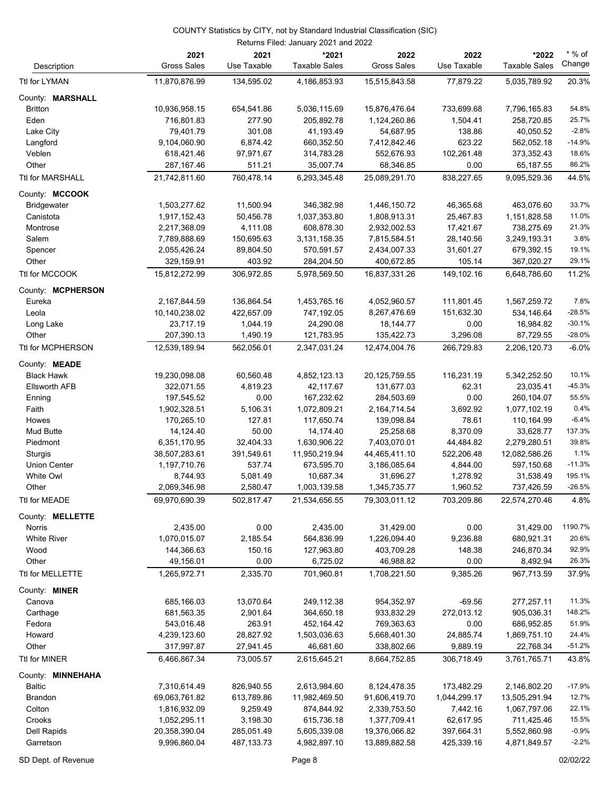#### COUNTY Statistics by CITY, not by Standard Industrial Classification (SIC)

| Returns Filed: January 2021 and 2022 |                            |                     |                               |                            |                     |                               |                    |  |
|--------------------------------------|----------------------------|---------------------|-------------------------------|----------------------------|---------------------|-------------------------------|--------------------|--|
| Description                          | 2021<br><b>Gross Sales</b> | 2021<br>Use Taxable | *2021<br><b>Taxable Sales</b> | 2022<br><b>Gross Sales</b> | 2022<br>Use Taxable | *2022<br><b>Taxable Sales</b> | $*$ % of<br>Change |  |
| Ttl for LYMAN                        | 11,870,876.99              | 134,595.02          | 4,186,853.93                  | 15,515,843.58              | 77,879.22           | 5,035,789.92                  | 20.3%              |  |
| County: MARSHALL                     |                            |                     |                               |                            |                     |                               |                    |  |
| <b>Britton</b>                       | 10,936,958.15              | 654,541.86          | 5,036,115.69                  | 15,876,476.64              | 733,699.68          | 7,796,165.83                  | 54.8%              |  |
| Eden                                 | 716,801.83                 | 277.90              | 205,892.78                    | 1,124,260.86               | 1,504.41            | 258,720.85                    | 25.7%              |  |
| Lake City                            | 79,401.79                  | 301.08              | 41,193.49                     | 54,687.95                  | 138.86              | 40,050.52                     | $-2.8%$            |  |
| Langford                             | 9,104,060.90               | 6,874.42            | 660,352.50                    | 7,412,842.46               | 623.22              | 562,052.18                    | $-14.9%$           |  |
| Veblen                               | 618,421.46                 | 97,971.67           | 314,783.28                    | 552,676.93                 | 102,261.48          | 373,352.43                    | 18.6%              |  |
| Other                                | 287,167.46                 | 511.21              | 35,007.74                     | 68,346.85                  | 0.00                | 65,187.55                     | 86.2%              |  |
| <b>Ttl for MARSHALL</b>              | 21,742,811.60              | 760,478.14          | 6,293,345.48                  | 25,089,291.70              | 838,227.65          | 9,095,529.36                  | 44.5%              |  |
| County: MCCOOK                       |                            |                     |                               |                            |                     |                               |                    |  |
| Bridgewater                          | 1,503,277.62               | 11,500.94           | 346,382.98                    | 1,446,150.72               | 46,365.68           | 463,076.60                    | 33.7%              |  |
| Canistota                            | 1,917,152.43               | 50,456.78           | 1,037,353.80                  | 1,808,913.31               | 25,467.83           | 1,151,828.58                  | 11.0%              |  |
| Montrose                             | 2,217,368.09               | 4,111.08            | 608,878.30                    | 2,932,002.53               | 17,421.67           | 738,275.69                    | 21.3%              |  |
| Salem                                | 7,789,888.69               | 150,695.63          | 3,131,158.35                  | 7,815,584.51               | 28,140.56           | 3,249,193.31                  | 3.8%               |  |
| Spencer                              | 2,055,426.24               | 89,804.50           | 570,591.57                    | 2,434,007.33               | 31,601.27           | 679,392.15                    | 19.1%              |  |
| Other                                | 329,159.91                 | 403.92              | 284,204.50                    | 400,672.85                 | 105.14              | 367,020.27                    | 29.1%              |  |
| Ttl for MCCOOK                       | 15,812,272.99              | 306,972.85          | 5,978,569.50                  | 16,837,331.26              | 149,102.16          | 6,648,786.60                  | 11.2%              |  |
| County: MCPHERSON                    |                            |                     |                               |                            |                     |                               |                    |  |
| Eureka                               | 2,167,844.59               | 136,864.54          | 1,453,765.16                  | 4,052,960.57               | 111,801.45          | 1,567,259.72                  | 7.8%               |  |
| Leola                                | 10,140,238.02              | 422,657.09          | 747,192.05                    | 8,267,476.69               | 151,632.30          | 534,146.64                    | $-28.5%$           |  |
| Long Lake                            | 23,717.19                  | 1,044.19            | 24,290.08                     | 18, 144. 77                | 0.00                | 16,984.82                     | $-30.1%$           |  |
| Other                                | 207,390.13                 | 1,490.19            | 121,783.95                    | 135,422.73                 | 3,296.08            | 87,729.55                     | $-28.0%$           |  |
| Ttl for MCPHERSON                    | 12,539,189.94              | 562,056.01          | 2,347,031.24                  | 12,474,004.76              | 266,729.83          | 2,206,120.73                  | $-6.0%$            |  |
| County: MEADE                        |                            |                     |                               |                            |                     |                               |                    |  |
| <b>Black Hawk</b>                    | 19,230,098.08              | 60,560.48           | 4,852,123.13                  | 20,125,759.55              | 116,231.19          | 5,342,252.50                  | 10.1%              |  |
| <b>Ellsworth AFB</b>                 | 322,071.55                 | 4,819.23            | 42,117.67                     | 131,677.03                 | 62.31               | 23,035.41                     | $-45.3%$           |  |
| Enning                               | 197,545.52                 | 0.00                | 167,232.62                    | 284,503.69                 | 0.00                | 260,104.07                    | 55.5%              |  |
| Faith                                | 1,902,328.51               | 5,106.31            | 1,072,809.21                  | 2,164,714.54               | 3,692.92            | 1,077,102.19                  | 0.4%               |  |
| Howes                                | 170,265.10                 | 127.81              | 117,650.74                    | 139,098.84                 | 78.61               | 110,164.99                    | $-6.4%$            |  |
| Mud Butte                            | 14,124.40                  | 50.00               | 14,174.40                     | 25,258.68                  | 8,370.09            | 33,628.77                     | 137.3%             |  |
| Piedmont                             | 6,351,170.95               | 32,404.33           | 1,630,906.22                  | 7,403,070.01               | 44,484.82           | 2,279,280.51                  | 39.8%              |  |
| Sturgis                              | 38,507,283.61              | 391,549.61          | 11,950,219.94                 | 44,465,411.10              | 522,206.48          | 12,082,586.26                 | 1.1%               |  |
| <b>Union Center</b>                  | 1,197,710.76               | 537.74              | 673,595.70                    | 3,186,085.64               | 4,844.00            | 597,150.68                    | $-11.3%$           |  |
| <b>White Owl</b>                     | 8,744.93                   | 5,081.49            | 10,687.34                     | 31,696.27                  | 1,278.92            | 31,538.49                     | 195.1%             |  |
| Other                                | 2,069,346.98               | 2,580.47            | 1,003,139.58                  | 1,345,735.77               | 1,960.52            | 737,426.59                    | -26.5%             |  |
| Ttl for MEADE                        | 69,970,690.39              | 502,817.47          | 21,534,656.55                 | 79,303,011.12              | 703,209.86          | 22,574,270.46                 | 4.8%               |  |
| County: MELLETTE                     |                            |                     |                               |                            |                     |                               |                    |  |
| Norris                               | 2,435.00                   | 0.00                | 2,435.00                      | 31,429.00                  | 0.00                | 31,429.00                     | 1190.7%            |  |
| <b>White River</b>                   | 1,070,015.07               | 2,185.54            | 564,836.99                    | 1,226,094.40               | 9,236.88            | 680,921.31                    | 20.6%              |  |
| Wood                                 | 144,366.63                 | 150.16              | 127,963.80                    | 403,709.28                 | 148.38              | 246,870.34                    | 92.9%              |  |
| Other                                | 49,156.01                  | 0.00                | 6,725.02                      | 46,988.82                  | 0.00                | 8,492.94                      | 26.3%              |  |
| Ttl for MELLETTE                     | 1,265,972.71               | 2,335.70            | 701,960.81                    | 1,708,221.50               | 9,385.26            | 967,713.59                    | 37.9%              |  |
| County: MINER                        |                            |                     |                               |                            |                     |                               |                    |  |
| Canova                               | 685,166.03                 | 13,070.64           | 249,112.38                    | 954,352.97                 | $-69.56$            | 277,257.11                    | 11.3%              |  |
| Carthage                             | 681,563.35                 | 2,901.64            | 364,650.18                    | 933,832.29                 | 272,013.12          | 905,036.31                    | 148.2%             |  |
| Fedora                               | 543,016.48                 | 263.91              | 452,164.42                    | 769,363.63                 | 0.00                | 686,952.85                    | 51.9%              |  |
| Howard                               | 4,239,123.60               | 28,827.92           | 1,503,036.63                  | 5,668,401.30               | 24,885.74           | 1,869,751.10                  | 24.4%              |  |
| Other                                | 317,997.87                 | 27,941.45           | 46,681.60                     | 338,802.66                 | 9,889.19            | 22,768.34                     | $-51.2%$           |  |
| Ttl for MINER                        | 6,466,867.34               | 73,005.57           | 2,615,645.21                  | 8,664,752.85               | 306,718.49          | 3,761,765.71                  | 43.8%              |  |
| County: MINNEHAHA                    |                            |                     |                               |                            |                     |                               |                    |  |
| Baltic                               | 7,310,614.49               | 826,940.55          | 2,613,984.60                  | 8,124,478.35               | 173,482.29          | 2,146,802.20                  | $-17.9%$           |  |
| <b>Brandon</b>                       | 69,063,761.82              | 613,789.86          | 11,982,469.50                 | 91,606,419.70              | 1,044,299.17        | 13,505,291.94                 | 12.7%              |  |
| Colton                               | 1,816,932.09               | 9,259.49            | 874,844.92                    | 2,339,753.50               | 7,442.16            | 1,067,797.06                  | 22.1%              |  |
| Crooks                               | 1,052,295.11               | 3,198.30            | 615,736.18                    | 1,377,709.41               | 62,617.95           | 711,425.46                    | 15.5%              |  |
| Dell Rapids                          | 20,358,390.04              | 285,051.49          | 5,605,339.08                  | 19,376,066.82              | 397,664.31          | 5,552,860.98                  | $-0.9%$            |  |
| Garretson                            | 9,996,860.04               | 487, 133. 73        | 4,982,897.10                  | 13,889,882.58              | 425,339.16          | 4,871,849.57                  | $-2.2%$            |  |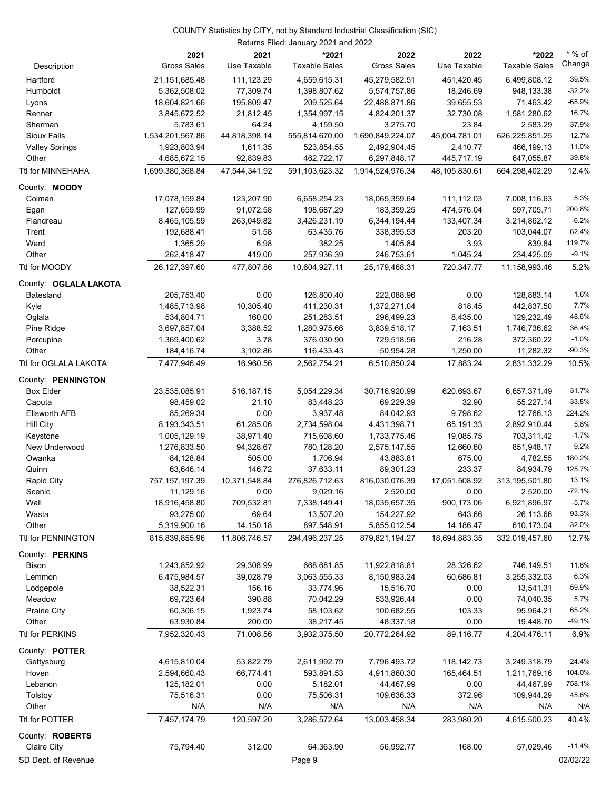|                       | 2021                          | 2021                    | *2021                       | 2022                        | 2022                    | *2022                       | $*$ % of<br>Change |
|-----------------------|-------------------------------|-------------------------|-----------------------------|-----------------------------|-------------------------|-----------------------------|--------------------|
| Description           | <b>Gross Sales</b>            | Use Taxable             | <b>Taxable Sales</b>        | <b>Gross Sales</b>          | Use Taxable             | <b>Taxable Sales</b>        |                    |
| Hartford              | 21,151,685.48                 | 111,123.29              | 4,659,615.31                | 45,279,582.51               | 451,420.45              | 6,499,808.12                | 39.5%              |
| Humboldt              | 5,362,508.02                  | 77,309.74               | 1,398,807.62                | 5,574,757.86                | 18,246.69               | 948,133.38                  | $-32.2%$           |
| Lyons                 | 18,604,821.66                 | 195,809.47              | 209,525.64                  | 22,488,871.86               | 39,655.53               | 71,463.42                   | $-65.9%$           |
| Renner                | 3,845,672.52                  | 21,812.45               | 1,354,997.15                | 4,824,201.37                | 32,730.08               | 1,581,280.62                | 16.7%              |
| Sherman               | 5,783.61                      | 64.24                   | 4,159.50                    | 3,275.70                    | 23.84                   | 2,583.29                    | $-37.9%$           |
| Sioux Falls           | 1,534,201,567.86              | 44,818,398.14           | 555,814,670.00              | 1,690,849,224.07            | 45,004,781.01           | 626,225,851.25              | 12.7%              |
| <b>Valley Springs</b> | 1,923,803.94                  | 1,611.35                | 523,854.55                  | 2,492,904.45                | 2,410.77                | 466,199.13                  | $-11.0%$           |
| Other                 | 4,685,672.15                  | 92,839.83               | 462,722.17                  | 6,297,848.17                | 445,717.19              | 647,055.87                  | 39.8%              |
| Ttl for MINNEHAHA     | 1,699,380,368.84              | 47,544,341.92           | 591,103,623.32              | 1,914,524,976.34            | 48,105,830.61           | 664,298,402.29              | 12.4%              |
| County: <b>MOODY</b>  |                               |                         |                             |                             |                         |                             |                    |
| Colman                | 17,078,159.84                 | 123,207.90              | 6,658,254.23                | 18,065,359.64               | 111,112.03              | 7,008,116.63                | 5.3%               |
| Egan                  | 127,659.99                    | 91,072.58               | 198,687.29                  | 183,359.25                  | 474,576.04              | 597,705.71                  | 200.8%             |
| Flandreau             | 8,465,105.59                  | 263,049.82              | 3,426,231.19                | 6,344,194.44                | 133,407.34              | 3,214,862.12                | $-6.2%$            |
| Trent                 | 192,688.41                    | 51.58                   | 63,435.76                   | 338,395.53                  | 203.20                  | 103,044.07                  | 62.4%              |
| Ward                  | 1,365.29                      | 6.98                    | 382.25                      | 1,405.84                    | 3.93                    | 839.84                      | 119.7%             |
| Other                 | 262,418.47                    | 419.00                  | 257,936.39                  | 246,753.61                  | 1,045.24                | 234,425.09                  | $-9.1%$            |
| Ttl for MOODY         | 26,127,397.60                 | 477,807.86              | 10,604,927.11               | 25,179,468.31               | 720,347.77              | 11,158,993.46               | 5.2%               |
| County: OGLALA LAKOTA |                               |                         |                             |                             |                         |                             |                    |
| Batesland             | 205,753.40                    | 0.00                    | 126,800.40                  | 222,088.96                  | 0.00                    | 128,883.14                  | 1.6%               |
| Kyle                  | 1,485,713.98                  | 10,305.40               | 411,230.31                  | 1,372,271.04                | 818.45                  | 442,837.50                  | 7.7%               |
| Oglala                | 534,804.71                    | 160.00                  | 251,283.51                  | 296,499.23                  | 8,435.00                | 129,232.49                  | $-48.6%$           |
| Pine Ridge            | 3,697,857.04                  | 3,388.52                | 1,280,975.66                | 3,839,518.17                | 7,163.51                | 1,746,736.62                | 36.4%              |
| Porcupine             | 1,369,400.62                  | 3.78                    | 376,030.90                  | 729,518.56                  | 216.28                  | 372,360.22                  | $-1.0%$            |
| Other                 | 184,416.74                    | 3,102.86                | 116,433.43                  | 50,954.28                   | 1,250.00                | 11,282.32                   | $-90.3%$           |
| Ttl for OGLALA LAKOTA | 7,477,946.49                  | 16,960.56               | 2,562,754.21                | 6,510,850.24                | 17,883.24               | 2,831,332.29                | 10.5%              |
|                       |                               |                         |                             |                             |                         |                             |                    |
| County: PENNINGTON    |                               |                         |                             |                             |                         |                             |                    |
| <b>Box Elder</b>      | 23,535,085.91                 | 516, 187. 15            | 5,054,229.34                | 30,716,920.99               | 620,693.67              | 6,657,371.49                | 31.7%              |
| Caputa                | 98,459.02                     | 21.10                   | 83,448.23                   | 69,229.39                   | 32.90                   | 55,227.14                   | $-33.8%$           |
| <b>Ellsworth AFB</b>  | 85,269.34                     | 0.00                    | 3,937.48                    | 84,042.93                   | 9,798.62                | 12,766.13                   | 224.2%<br>5.8%     |
| Hill City             | 8,193,343.51                  | 61,285.06               | 2,734,598.04                | 4,431,398.71                | 65,191.33               | 2,892,910.44                | $-1.7%$            |
| Keystone              | 1,005,129.19                  | 38,971.40               | 715,608.60                  | 1,733,775.46                | 19,085.75               | 703,311.42                  | 9.2%               |
| New Underwood         | 1,276,833.50                  | 94,328.67<br>505.00     | 780,128.20                  | 2,575,147.55<br>43,883.81   | 12,660.60               | 851,948.17                  | 180.2%             |
| Owanka                | 84,128.84                     |                         | 1,706.94                    |                             | 675.00                  | 4,782.55                    | 125.7%             |
| Quinn                 | 63,646.14<br>757, 157, 197.39 | 146.72<br>10,371,548.84 | 37,633.11<br>276,826,712.63 | 89,301.23<br>816,030,076.39 | 233.37<br>17,051,508.92 | 84,934.79<br>313,195,501.80 | 13.1%              |
| <b>Rapid City</b>     | 11,129.16                     | 0.00                    | 9,029.16                    | 2,520.00                    | 0.00                    | 2,520.00                    | $-72.1%$           |
| Scenic<br>Wall        | 18,916,458.80                 |                         |                             |                             | 900,173.06              |                             | $-5.7%$            |
| Wasta                 | 93,275.00                     | 709,532.81<br>69.64     | 7,338,149.41<br>13,507.20   | 18,035,657.35<br>154,227.92 | 643.66                  | 6,921,896.97                | 93.3%              |
| Other                 | 5,319,900.16                  | 14,150.18               | 897,548.91                  | 5,855,012.54                | 14,186.47               | 26,113.66<br>610,173.04     | $-32.0%$           |
| Ttl for PENNINGTON    | 815,839,855.96                | 11,806,746.57           | 294,496,237.25              | 879,821,194.27              | 18,694,883.35           | 332,019,457.60              | 12.7%              |
|                       |                               |                         |                             |                             |                         |                             |                    |
| County: PERKINS       |                               |                         |                             |                             |                         |                             |                    |
| Bison                 | 1,243,852.92                  | 29,308.99               | 668,681.85                  | 11,922,818.81               | 28,326.62               | 746,149.51                  | 11.6%              |
| Lemmon                | 6,475,984.57                  | 39,028.79               | 3,063,555.33                | 8,150,983.24                | 60,686.81               | 3,255,332.03                | 6.3%               |
| Lodgepole             | 38,522.31                     | 156.16                  | 33,774.96                   | 15,516.70                   | 0.00                    | 13,541.31                   | -59.9%             |
| Meadow                | 69,723.64                     | 390.88                  | 70,042.29                   | 533,926.44                  | 0.00                    | 74,040.35                   | 5.7%               |
| Prairie City          | 60,306.15                     | 1,923.74                | 58,103.62                   | 100,682.55                  | 103.33                  | 95,964.21                   | 65.2%              |
| Other                 | 63,930.84                     | 200.00                  | 38,217.45                   | 48,337.18                   | 0.00                    | 19,448.70                   | $-49.1%$           |
| Ttl for PERKINS       | 7,952,320.43                  | 71,008.56               | 3,932,375.50                | 20,772,264.92               | 89,116.77               | 4,204,476.11                | 6.9%               |
| County: POTTER        |                               |                         |                             |                             |                         |                             |                    |
| Gettysburg            | 4,615,810.04                  | 53,822.79               | 2,611,992.79                | 7,796,493.72                | 118,142.73              | 3,249,318.79                | 24.4%              |
| Hoven                 | 2,594,660.43                  | 66,774.41               | 593,891.53                  | 4,911,860.30                | 165,464.51              | 1,211,769.16                | 104.0%             |
| Lebanon               | 125,182.01                    | 0.00                    | 5,182.01                    | 44,467.99                   | 0.00                    | 44,467.99                   | 758.1%             |
| Tolstoy               | 75,516.31                     | 0.00                    | 75,506.31                   | 109,636.33                  | 372.96                  | 109,944.29                  | 45.6%              |
| Other                 | N/A                           | N/A                     | N/A                         | N/A                         | N/A                     | N/A                         | N/A                |
| Ttl for POTTER        | 7,457,174.79                  | 120,597.20              | 3,286,572.64                | 13,003,458.34               | 283,980.20              | 4,615,500.23                | 40.4%              |
| County: ROBERTS       |                               |                         |                             |                             |                         |                             |                    |
| Claire City           | 75,794.40                     | 312.00                  | 64,363.90                   | 56,992.77                   | 168.00                  | 57,029.46                   | $-11.4%$           |
| SD Dept. of Revenue   |                               |                         | Page 9                      |                             |                         |                             | 02/02/22           |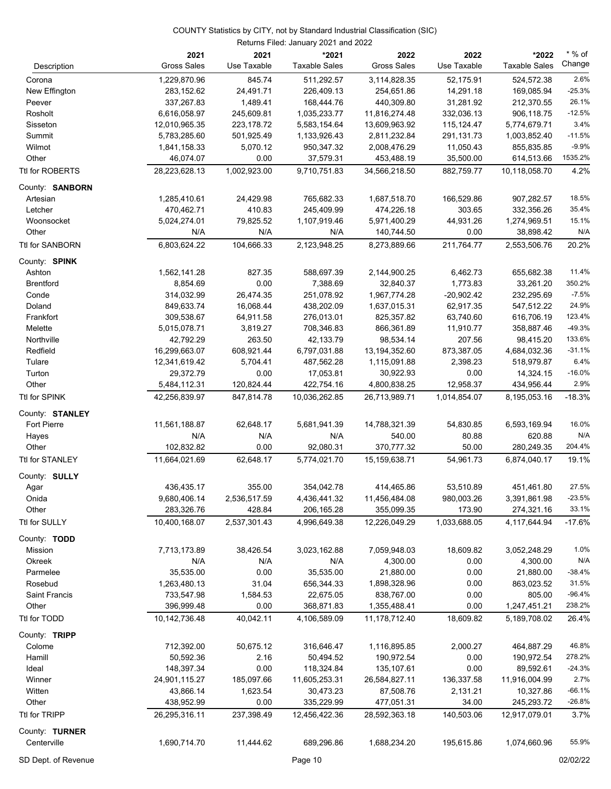|                      | 2021<br><b>Gross Sales</b> | 2021<br>Use Taxable    | *2021<br><b>Taxable Sales</b> | 2022<br><b>Gross Sales</b>  | 2022<br>Use Taxable  | *2022<br><b>Taxable Sales</b> | $*$ % of<br>Change |
|----------------------|----------------------------|------------------------|-------------------------------|-----------------------------|----------------------|-------------------------------|--------------------|
| Description          |                            |                        |                               |                             |                      |                               |                    |
| Corona               | 1,229,870.96               | 845.74                 | 511,292.57                    | 3,114,828.35                | 52,175.91            | 524,572.38                    | 2.6%               |
| New Effington        | 283,152.62                 | 24,491.71              | 226,409.13                    | 254,651.86                  | 14,291.18            | 169,085.94                    | $-25.3%$           |
| Peever               | 337,267.83                 | 1,489.41               | 168,444.76                    | 440,309.80                  | 31,281.92            | 212,370.55                    | 26.1%              |
| Rosholt              | 6,616,058.97               | 245,609.81             | 1,035,233.77                  | 11,816,274.48               | 332,036.13           | 906,118.75                    | $-12.5%$           |
| Sisseton             | 12,010,965.35              | 223,178.72             | 5,583,154.64                  | 13,609,963.92               | 115,124.47           | 5,774,679.71                  | 3.4%               |
| Summit               | 5,783,285.60               | 501,925.49             | 1,133,926.43                  | 2,811,232.84                | 291,131.73           | 1,003,852.40                  | $-11.5%$           |
| Wilmot               | 1,841,158.33               | 5,070.12               | 950,347.32                    | 2,008,476.29                | 11,050.43            | 855,835.85                    | $-9.9%$            |
| Other                | 46,074.07                  | 0.00                   | 37,579.31                     | 453,488.19                  | 35,500.00            | 614,513.66                    | 1535.2%            |
| Ttl for ROBERTS      | 28,223,628.13              | 1,002,923.00           | 9,710,751.83                  | 34,566,218.50               | 882,759.77           | 10,118,058.70                 | 4.2%               |
| County: SANBORN      |                            |                        |                               |                             |                      |                               |                    |
| Artesian             | 1,285,410.61               | 24,429.98              | 765,682.33                    | 1,687,518.70                | 166,529.86           | 907,282.57                    | 18.5%              |
| Letcher              | 470,462.71                 | 410.83                 | 245,409.99                    | 474,226.18                  | 303.65               | 332,356.26                    | 35.4%              |
| Woonsocket           | 5,024,274.01               | 79,825.52              | 1,107,919.46                  | 5,971,400.29                | 44,931.26            | 1,274,969.51                  | 15.1%              |
| Other                | N/A                        | N/A                    | N/A                           | 140,744.50                  | 0.00                 | 38,898.42                     | N/A                |
| Ttl for SANBORN      | 6,803,624.22               | 104,666.33             | 2,123,948.25                  | 8,273,889.66                | 211,764.77           | 2,553,506.76                  | 20.2%              |
| County: SPINK        |                            |                        |                               |                             |                      |                               |                    |
| Ashton               | 1,562,141.28               | 827.35                 | 588,697.39                    | 2,144,900.25                | 6,462.73             | 655,682.38                    | 11.4%              |
| <b>Brentford</b>     | 8,854.69                   | 0.00                   | 7,388.69                      | 32,840.37                   | 1,773.83             | 33,261.20                     | 350.2%             |
| Conde                | 314,032.99                 | 26,474.35              | 251,078.92                    | 1,967,774.28                | $-20,902.42$         | 232,295.69                    | $-7.5%$            |
| Doland               | 849,633.74                 | 16,068.44              | 438,202.09                    | 1,637,015.31                | 62,917.35            | 547,512.22                    | 24.9%              |
| Frankfort            | 309,538.67                 | 64,911.58              | 276,013.01                    | 825,357.82                  | 63,740.60            | 616,706.19                    | 123.4%             |
| Melette              | 5,015,078.71               | 3,819.27               | 708,346.83                    | 866,361.89                  | 11,910.77            | 358,887.46                    | $-49.3%$           |
| Northville           | 42,792.29                  | 263.50                 | 42,133.79                     | 98,534.14                   | 207.56               | 98,415.20                     | 133.6%             |
| Redfield             | 16,299,663.07              | 608,921.44             | 6,797,031.88                  | 13,194,352.60               | 873,387.05           | 4,684,032.36                  | $-31.1%$           |
| Tulare               | 12,341,619.42              | 5,704.41               | 487,562.28                    | 1,115,091.88                | 2,398.23             | 518,979.87                    | 6.4%               |
| Turton               | 29,372.79                  | 0.00                   | 17,053.81                     | 30,922.93                   | 0.00                 | 14,324.15                     | $-16.0%$           |
| Other                | 5,484,112.31               | 120,824.44             | 422,754.16                    | 4,800,838.25                | 12,958.37            | 434,956.44                    | 2.9%               |
| Ttl for SPINK        | 42,256,839.97              | 847,814.78             | 10,036,262.85                 | 26,713,989.71               | 1,014,854.07         | 8,195,053.16                  | $-18.3%$           |
| County: STANLEY      |                            |                        |                               |                             |                      |                               |                    |
| Fort Pierre          | 11,561,188.87              | 62,648.17              | 5,681,941.39                  | 14,788,321.39               | 54,830.85            | 6,593,169.94                  | 16.0%              |
| Hayes                | N/A                        | N/A                    | N/A                           | 540.00                      | 80.88                | 620.88                        | N/A                |
| Other                | 102,832.82                 | 0.00                   | 92,080.31                     | 370,777.32                  | 50.00                | 280,249.35                    | 204.4%             |
| Ttl for STANLEY      | 11,664,021.69              | 62,648.17              | 5,774,021.70                  | 15,159,638.71               | 54,961.73            | 6,874,040.17                  | 19.1%              |
| County: SULLY        |                            |                        |                               |                             |                      |                               |                    |
| Agar                 | 436,435.17                 | 355.00                 | 354,042.78                    | 414,465.86                  | 53,510.89            | 451,461.80                    | 27.5%              |
|                      |                            |                        |                               |                             |                      |                               | $-23.5%$           |
| Onida<br>Other       | 9,680,406.14<br>283,326.76 | 2,536,517.59<br>428.84 | 4,436,441.32<br>206, 165.28   | 11,456,484.08<br>355,099.35 | 980,003.26<br>173.90 | 3,391,861.98<br>274,321.16    | 33.1%              |
|                      |                            |                        |                               |                             |                      |                               |                    |
| Ttl for SULLY        | 10,400,168.07              | 2,537,301.43           | 4,996,649.38                  | 12,226,049.29               | 1,033,688.05         | 4,117,644.94                  | $-17.6%$           |
| County: TODD         |                            |                        |                               |                             |                      |                               |                    |
| Mission              | 7,713,173.89               | 38,426.54              | 3,023,162.88                  | 7,059,948.03                | 18,609.82            | 3,052,248.29                  | 1.0%               |
| Okreek               | N/A                        | N/A                    | N/A                           | 4,300.00                    | 0.00                 | 4,300.00                      | N/A                |
| Parmelee             | 35,535.00                  | 0.00                   | 35,535.00                     | 21,880.00                   | 0.00                 | 21,880.00                     | $-38.4%$           |
| Rosebud              | 1,263,480.13               | 31.04                  | 656,344.33                    | 1,898,328.96                | 0.00                 | 863,023.52                    | 31.5%              |
| <b>Saint Francis</b> | 733,547.98                 | 1,584.53               | 22,675.05                     | 838,767.00                  | 0.00                 | 805.00                        | $-96.4%$           |
| Other                | 396,999.48                 | 0.00                   | 368,871.83                    | 1,355,488.41                | 0.00                 | 1,247,451.21                  | 238.2%             |
| Ttl for TODD         | 10,142,736.48              | 40,042.11              | 4,106,589.09                  | 11,178,712.40               | 18,609.82            | 5,189,708.02                  | 26.4%              |
| County: TRIPP        |                            |                        |                               |                             |                      |                               |                    |
| Colome               | 712,392.00                 | 50,675.12              | 316,646.47                    | 1,116,895.85                | 2,000.27             | 464,887.29                    | 46.8%              |
| Hamill               | 50,592.36                  | 2.16                   | 50,494.52                     | 190,972.54                  | 0.00                 | 190,972.54                    | 278.2%             |
| Ideal                | 148,397.34                 | 0.00                   | 118,324.84                    | 135,107.61                  | 0.00                 | 89,592.61                     | $-24.3%$           |
| Winner               | 24,901,115.27              | 185,097.66             | 11,605,253.31                 | 26,584,827.11               | 136,337.58           | 11,916,004.99                 | 2.7%               |
| Witten               | 43,866.14                  | 1,623.54               | 30,473.23                     | 87,508.76                   | 2,131.21             | 10,327.86                     | $-66.1%$           |
| Other                | 438,952.99                 | 0.00                   | 335,229.99                    | 477,051.31                  | 34.00                | 245,293.72                    | $-26.8%$           |
| Ttl for TRIPP        | 26,295,316.11              | 237,398.49             | 12,456,422.36                 | 28,592,363.18               | 140,503.06           | 12,917,079.01                 | 3.7%               |
| County: TURNER       |                            |                        |                               |                             |                      |                               |                    |
| Centerville          | 1,690,714.70               | 11,444.62              | 689,296.86                    | 1,688,234.20                | 195,615.86           | 1,074,660.96                  | 55.9%              |
|                      |                            |                        |                               |                             |                      |                               |                    |

SD Dept. of Revenue **Page 10** Page 10 **Page 10 Page 10 Page 10 Page 10 Page 10 Page 10 Page 10 Page 10 Page 10 Page 10 Page 10 Page 10 Page 10 Page 10 Page 10 Page 10 Page 10 Page 10 Pag**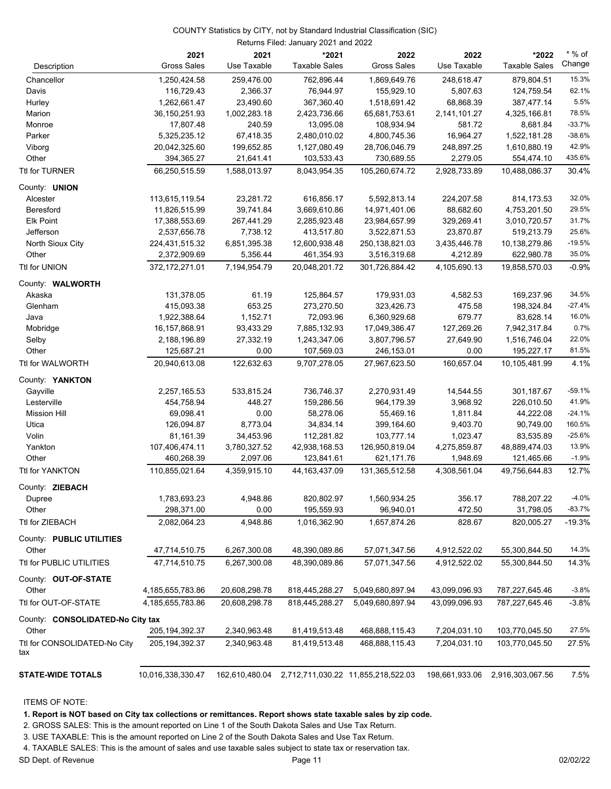|                                     | 2021               | 2021          | *2021                | 2022                                                | 2022          | *2022                           | $^{\star}$ % of |
|-------------------------------------|--------------------|---------------|----------------------|-----------------------------------------------------|---------------|---------------------------------|-----------------|
| Description                         | <b>Gross Sales</b> | Use Taxable   | <b>Taxable Sales</b> | <b>Gross Sales</b>                                  | Use Taxable   | <b>Taxable Sales</b>            | Change          |
| Chancellor                          | 1,250,424.58       | 259,476.00    | 762,896.44           | 1,869,649.76                                        | 248,618.47    | 879,804.51                      | 15.3%           |
| Davis                               | 116,729.43         | 2,366.37      | 76,944.97            | 155,929.10                                          | 5,807.63      | 124,759.54                      | 62.1%           |
| Hurley                              | 1,262,661.47       | 23,490.60     | 367,360.40           | 1,518,691.42                                        | 68,868.39     | 387,477.14                      | 5.5%            |
| Marion                              | 36,150,251.93      | 1,002,283.18  | 2,423,736.66         | 65,681,753.61                                       | 2,141,101.27  | 4,325,166.81                    | 78.5%           |
| Monroe                              | 17,807.48          | 240.59        | 13,095.08            | 108,934.94                                          | 581.72        | 8,681.84                        | $-33.7%$        |
| Parker                              | 5,325,235.12       | 67,418.35     | 2,480,010.02         | 4,800,745.36                                        | 16,964.27     | 1,522,181.28                    | $-38.6%$        |
| Viborg                              | 20,042,325.60      | 199,652.85    | 1,127,080.49         | 28,706,046.79                                       | 248,897.25    | 1,610,880.19                    | 42.9%           |
| Other                               | 394,365.27         | 21,641.41     | 103,533.43           | 730,689.55                                          | 2,279.05      | 554,474.10                      | 435.6%          |
| Ttl for TURNER                      | 66,250,515.59      | 1,588,013.97  | 8,043,954.35         | 105.260.674.72                                      | 2,928,733.89  | 10,488,086.37                   | 30.4%           |
| County: <b>UNION</b>                |                    |               |                      |                                                     |               |                                 |                 |
| Alcester                            | 113,615,119.54     | 23,281.72     | 616,856.17           | 5,592,813.14                                        | 224,207.58    | 814, 173.53                     | 32.0%           |
| Beresford                           | 11,826,515.99      | 39,741.84     | 3,669,610.86         | 14,971,401.06                                       | 88,682.60     | 4,753,201.50                    | 29.5%           |
| <b>Elk Point</b>                    | 17,388,553.69      | 267,441.29    | 2,285,923.48         | 23,984,657.99                                       | 329,269.41    | 3,010,720.57                    | 31.7%           |
| Jefferson                           | 2,537,656.78       | 7,738.12      | 413,517.80           | 3,522,871.53                                        | 23,870.87     | 519,213.79                      | 25.6%           |
| North Sioux City                    | 224,431,515.32     | 6,851,395.38  | 12,600,938.48        | 250,138,821.03                                      | 3,435,446.78  | 10,138,279.86                   | $-19.5%$        |
| Other                               | 2,372,909.69       | 5,356.44      | 461,354.93           | 3,516,319.68                                        | 4,212.89      | 622,980.78                      | 35.0%           |
| Ttl for UNION                       | 372,172,271.01     | 7,194,954.79  | 20.048.201.72        | 301,726,884.42                                      | 4,105,690.13  | 19,858,570.03                   | $-0.9%$         |
| County: WALWORTH                    |                    |               |                      |                                                     |               |                                 |                 |
| Akaska                              | 131,378.05         | 61.19         | 125,864.57           | 179,931.03                                          | 4,582.53      | 169,237.96                      | 34.5%           |
| Glenham                             | 415,093.38         | 653.25        | 273,270.50           | 323,426.73                                          | 475.58        | 198,324.84                      | $-27.4%$        |
| Java                                | 1,922,388.64       | 1,152.71      | 72,093.96            | 6,360,929.68                                        | 679.77        | 83,628.14                       | 16.0%           |
| Mobridge                            | 16, 157, 868. 91   | 93,433.29     | 7,885,132.93         | 17,049,386.47                                       | 127,269.26    | 7,942,317.84                    | 0.7%            |
| Selby                               | 2,188,196.89       | 27,332.19     | 1,243,347.06         | 3,807,796.57                                        | 27,649.90     | 1,516,746.04                    | 22.0%           |
| Other                               | 125,687.21         | 0.00          | 107,569.03           | 246,153.01                                          | 0.00          | 195,227.17                      | 81.5%           |
| Ttl for WALWORTH                    | 20,940,613.08      | 122,632.63    | 9,707,278.05         | 27,967,623.50                                       | 160,657.04    | 10,105,481.99                   | 4.1%            |
| County: YANKTON                     |                    |               |                      |                                                     |               |                                 |                 |
| Gayville                            | 2,257,165.53       | 533,815.24    | 736,746.37           | 2,270,931.49                                        | 14,544.55     | 301,187.67                      | $-59.1%$        |
| Lesterville                         | 454,758.94         | 448.27        | 159,286.56           | 964,179.39                                          | 3,968.92      | 226,010.50                      | 41.9%           |
| <b>Mission Hill</b>                 | 69,098.41          | 0.00          | 58,278.06            | 55,469.16                                           | 1,811.84      | 44,222.08                       | $-24.1%$        |
| Utica                               | 126,094.87         | 8,773.04      | 34,834.14            | 399,164.60                                          | 9,403.70      | 90,749.00                       | 160.5%          |
| Volin                               | 81,161.39          | 34,453.96     | 112,281.82           | 103,777.14                                          | 1,023.47      | 83,535.89                       | $-25.6%$        |
| Yankton                             | 107,406,474.11     | 3,780,327.52  | 42,938,168.53        | 126,950,819.04                                      | 4,275,859.87  | 48,889,474.03                   | 13.9%           |
| Other                               | 460,268.39         | 2,097.06      | 123,841.61           | 621,171.76                                          | 1,948.69      | 121,465.66                      | $-1.9%$         |
| Ttl for YANKTON                     | 110,855,021.64     | 4,359,915.10  | 44, 163, 437.09      | 131,365,512.58                                      | 4,308,561.04  | 49,756,644.83                   | 12.7%           |
| County: ZIEBACH                     |                    |               |                      |                                                     |               |                                 |                 |
| Dupree                              | 1,783,693.23       | 4,948.86      | 820,802.97           | 1,560,934.25                                        | 356.17        | 788,207.22                      | $-4.0%$         |
| Other                               | 298,371.00         | 0.00          | 195,559.93           | 96,940.01                                           | 472.50        | 31,798.05                       | $-83.7%$        |
| Ttl for ZIEBACH                     | 2,082,064.23       | 4,948.86      | 1,016,362.90         | 1,657,874.26                                        | 828.67        | 820,005.27                      | $-19.3%$        |
| County: PUBLIC UTILITIES            |                    |               |                      |                                                     |               |                                 |                 |
| Other                               | 47,714,510.75      | 6,267,300.08  | 48,390,089.86        | 57,071,347.56                                       | 4,912,522.02  | 55,300,844.50                   | 14.3%           |
| Ttl for PUBLIC UTILITIES            | 47,714,510.75      | 6,267,300.08  | 48,390,089.86        | 57,071,347.56                                       | 4,912,522.02  | 55,300,844.50                   | 14.3%           |
| County: OUT-OF-STATE                |                    |               |                      |                                                     |               |                                 |                 |
| Other                               | 4,185,655,783.86   | 20,608,298.78 | 818,445,288.27       | 5,049,680,897.94                                    | 43,099,096.93 | 787,227,645.46                  | $-3.8%$         |
| Ttl for OUT-OF-STATE                | 4.185.655.783.86   | 20.608.298.78 | 818,445,288.27       | 5,049,680,897.94                                    | 43,099,096.93 | 787,227,645.46                  | $-3.8%$         |
| County: CONSOLIDATED-No City tax    |                    |               |                      |                                                     |               |                                 |                 |
| Other                               | 205, 194, 392. 37  | 2,340,963.48  | 81,419,513.48        | 468,888,115.43                                      | 7,204,031.10  | 103,770,045.50                  | 27.5%           |
|                                     | 205, 194, 392. 37  | 2,340,963.48  | 81,419,513.48        | 468,888,115.43                                      | 7,204,031.10  | 103,770,045.50                  | 27.5%           |
| Ttl for CONSOLIDATED-No City<br>tax |                    |               |                      |                                                     |               |                                 |                 |
|                                     |                    |               |                      |                                                     |               |                                 |                 |
| <b>STATE-WIDE TOTALS</b>            | 10,016,338,330.47  |               |                      | 162,610,480.04  2,712,711,030.22  11,855,218,522.03 |               | 198,661,933.06 2,916,303,067.56 | 7.5%            |

ITEMS OF NOTE:

**1. Report is NOT based on City tax collections or remittances. Report shows state taxable sales by zip code.**

2. GROSS SALES: This is the amount reported on Line 1 of the South Dakota Sales and Use Tax Return.

3. USE TAXABLE: This is the amount reported on Line 2 of the South Dakota Sales and Use Tax Return.

4. TAXABLE SALES: This is the amount of sales and use taxable sales subject to state tax or reservation tax.

SD Dept. of Revenue **Page 11** Page 11 **Page 11 Page 11 Page 11 Page 11 Page 11 Page 11 Page 11 Page 11 Page 11 Page 11 Page 11 Page 11 Page 11 Page 11 Page 11 Page 11 Page 11 Page 11 Pag**